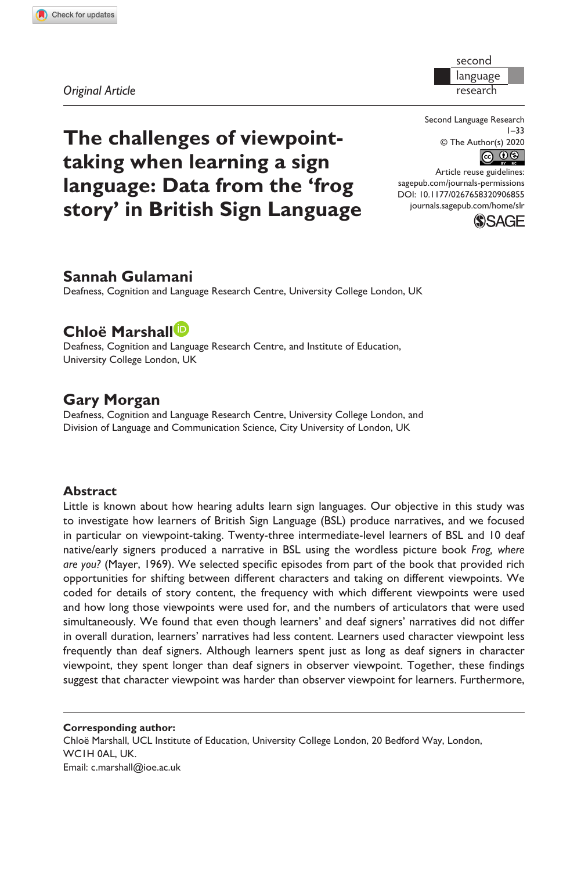**9068[55](http://crossmark.crossref.org/dialog/?doi=10.1177%2F0267658320906855&domain=pdf&date_stamp=2020-02-28)**SLR0010.1177/0267658320906855Second Language Research**Gulamani et al.**

second language research

*Original Article*

Second Language Research 1–33 © The Author(s) 2020  $\circledcirc$   $\circledcirc$ 

DOI: 10.1177/0267658320906855 Article reuse guidelines: [sagepub.com/journals-permissions](https://uk.sagepub.com/en-gb/journals-permissions) [journals.sagepub.com/home/slr](https://journals.sagepub.com/home/slr)



## **Sannah Gulamani**

Deafness, Cognition and Language Research Centre, University College London, UK

**The challenges of viewpointtaking when learning a sign** 

**language: Data from the 'frog story' in British Sign Language**

# **Chloë Marshall**

Deafness, Cognition and Language Research Centre, and Institute of Education, University College London, UK

## **Gary Morgan**

Deafness, Cognition and Language Research Centre, University College London, and Division of Language and Communication Science, City University of London, UK

#### **Abstract**

Little is known about how hearing adults learn sign languages. Our objective in this study was to investigate how learners of British Sign Language (BSL) produce narratives, and we focused in particular on viewpoint-taking. Twenty-three intermediate-level learners of BSL and 10 deaf native/early signers produced a narrative in BSL using the wordless picture book *Frog, where are you?* (Mayer, 1969). We selected specific episodes from part of the book that provided rich opportunities for shifting between different characters and taking on different viewpoints. We coded for details of story content, the frequency with which different viewpoints were used and how long those viewpoints were used for, and the numbers of articulators that were used simultaneously. We found that even though learners' and deaf signers' narratives did not differ in overall duration, learners' narratives had less content. Learners used character viewpoint less frequently than deaf signers. Although learners spent just as long as deaf signers in character viewpoint, they spent longer than deaf signers in observer viewpoint. Together, these findings suggest that character viewpoint was harder than observer viewpoint for learners. Furthermore,

**Corresponding author:** Chloë Marshall, UCL Institute of Education, University College London, 20 Bedford Way, London, WC1H 0AL, UK. Email: [c.marshall@ioe.ac.uk](mailto:c.marshall@ioe.ac.uk)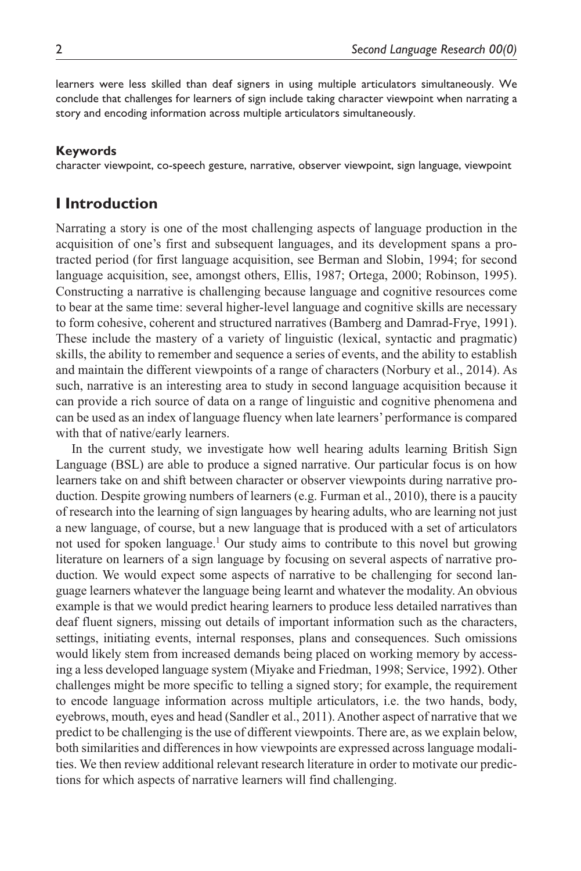learners were less skilled than deaf signers in using multiple articulators simultaneously. We conclude that challenges for learners of sign include taking character viewpoint when narrating a story and encoding information across multiple articulators simultaneously.

#### **Keywords**

character viewpoint, co-speech gesture, narrative, observer viewpoint, sign language, viewpoint

## **I Introduction**

Narrating a story is one of the most challenging aspects of language production in the acquisition of one's first and subsequent languages, and its development spans a protracted period (for first language acquisition, see Berman and Slobin, 1994; for second language acquisition, see, amongst others, Ellis, 1987; Ortega, 2000; Robinson, 1995). Constructing a narrative is challenging because language and cognitive resources come to bear at the same time: several higher-level language and cognitive skills are necessary to form cohesive, coherent and structured narratives (Bamberg and Damrad-Frye, 1991). These include the mastery of a variety of linguistic (lexical, syntactic and pragmatic) skills, the ability to remember and sequence a series of events, and the ability to establish and maintain the different viewpoints of a range of characters (Norbury et al., 2014). As such, narrative is an interesting area to study in second language acquisition because it can provide a rich source of data on a range of linguistic and cognitive phenomena and can be used as an index of language fluency when late learners' performance is compared with that of native/early learners.

In the current study, we investigate how well hearing adults learning British Sign Language (BSL) are able to produce a signed narrative. Our particular focus is on how learners take on and shift between character or observer viewpoints during narrative production. Despite growing numbers of learners (e.g. Furman et al., 2010), there is a paucity of research into the learning of sign languages by hearing adults, who are learning not just a new language, of course, but a new language that is produced with a set of articulators not used for spoken language.<sup>1</sup> Our study aims to contribute to this novel but growing literature on learners of a sign language by focusing on several aspects of narrative production. We would expect some aspects of narrative to be challenging for second language learners whatever the language being learnt and whatever the modality. An obvious example is that we would predict hearing learners to produce less detailed narratives than deaf fluent signers, missing out details of important information such as the characters, settings, initiating events, internal responses, plans and consequences. Such omissions would likely stem from increased demands being placed on working memory by accessing a less developed language system (Miyake and Friedman, 1998; Service, 1992). Other challenges might be more specific to telling a signed story; for example, the requirement to encode language information across multiple articulators, i.e. the two hands, body, eyebrows, mouth, eyes and head (Sandler et al., 2011). Another aspect of narrative that we predict to be challenging is the use of different viewpoints. There are, as we explain below, both similarities and differences in how viewpoints are expressed across language modalities. We then review additional relevant research literature in order to motivate our predictions for which aspects of narrative learners will find challenging.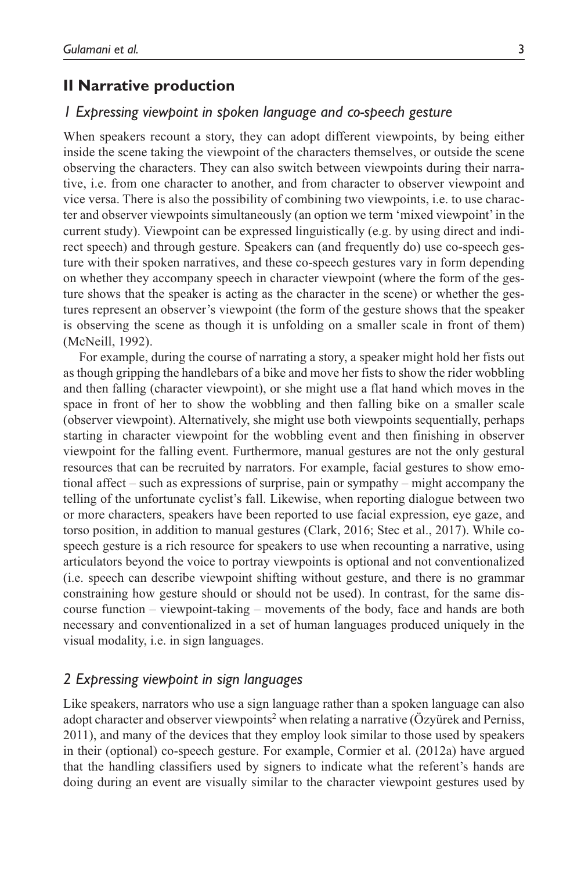## **II Narrative production**

#### *1 Expressing viewpoint in spoken language and co-speech gesture*

When speakers recount a story, they can adopt different viewpoints, by being either inside the scene taking the viewpoint of the characters themselves, or outside the scene observing the characters. They can also switch between viewpoints during their narrative, i.e. from one character to another, and from character to observer viewpoint and vice versa. There is also the possibility of combining two viewpoints, i.e. to use character and observer viewpoints simultaneously (an option we term 'mixed viewpoint' in the current study). Viewpoint can be expressed linguistically (e.g. by using direct and indirect speech) and through gesture. Speakers can (and frequently do) use co-speech gesture with their spoken narratives, and these co-speech gestures vary in form depending on whether they accompany speech in character viewpoint (where the form of the gesture shows that the speaker is acting as the character in the scene) or whether the gestures represent an observer's viewpoint (the form of the gesture shows that the speaker is observing the scene as though it is unfolding on a smaller scale in front of them) (McNeill, 1992).

For example, during the course of narrating a story, a speaker might hold her fists out as though gripping the handlebars of a bike and move her fists to show the rider wobbling and then falling (character viewpoint), or she might use a flat hand which moves in the space in front of her to show the wobbling and then falling bike on a smaller scale (observer viewpoint). Alternatively, she might use both viewpoints sequentially, perhaps starting in character viewpoint for the wobbling event and then finishing in observer viewpoint for the falling event. Furthermore, manual gestures are not the only gestural resources that can be recruited by narrators. For example, facial gestures to show emotional affect – such as expressions of surprise, pain or sympathy – might accompany the telling of the unfortunate cyclist's fall. Likewise, when reporting dialogue between two or more characters, speakers have been reported to use facial expression, eye gaze, and torso position, in addition to manual gestures (Clark, 2016; Stec et al., 2017). While cospeech gesture is a rich resource for speakers to use when recounting a narrative, using articulators beyond the voice to portray viewpoints is optional and not conventionalized (i.e. speech can describe viewpoint shifting without gesture, and there is no grammar constraining how gesture should or should not be used). In contrast, for the same discourse function – viewpoint-taking – movements of the body, face and hands are both necessary and conventionalized in a set of human languages produced uniquely in the visual modality, i.e. in sign languages.

#### *2 Expressing viewpoint in sign languages*

Like speakers, narrators who use a sign language rather than a spoken language can also adopt character and observer viewpoints<sup>2</sup> when relating a narrative (Özyürek and Perniss, 2011), and many of the devices that they employ look similar to those used by speakers in their (optional) co-speech gesture. For example, Cormier et al. (2012a) have argued that the handling classifiers used by signers to indicate what the referent's hands are doing during an event are visually similar to the character viewpoint gestures used by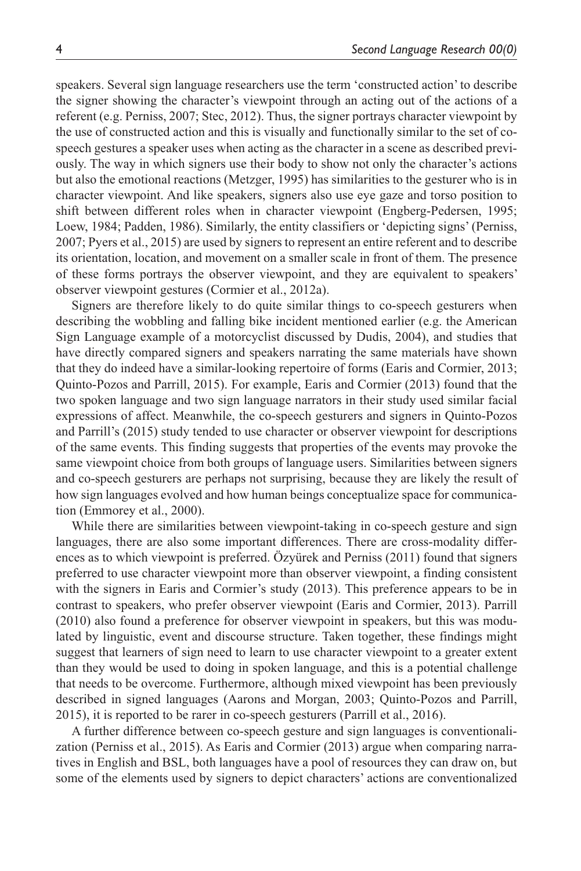speakers. Several sign language researchers use the term 'constructed action' to describe the signer showing the character's viewpoint through an acting out of the actions of a referent (e.g. Perniss, 2007; Stec, 2012). Thus, the signer portrays character viewpoint by the use of constructed action and this is visually and functionally similar to the set of cospeech gestures a speaker uses when acting as the character in a scene as described previously. The way in which signers use their body to show not only the character's actions but also the emotional reactions (Metzger, 1995) has similarities to the gesturer who is in character viewpoint. And like speakers, signers also use eye gaze and torso position to shift between different roles when in character viewpoint (Engberg-Pedersen, 1995; Loew, 1984; Padden, 1986). Similarly, the entity classifiers or 'depicting signs' (Perniss, 2007; Pyers et al., 2015) are used by signers to represent an entire referent and to describe its orientation, location, and movement on a smaller scale in front of them. The presence of these forms portrays the observer viewpoint, and they are equivalent to speakers' observer viewpoint gestures (Cormier et al., 2012a).

Signers are therefore likely to do quite similar things to co-speech gesturers when describing the wobbling and falling bike incident mentioned earlier (e.g. the American Sign Language example of a motorcyclist discussed by Dudis, 2004), and studies that have directly compared signers and speakers narrating the same materials have shown that they do indeed have a similar-looking repertoire of forms (Earis and Cormier, 2013; Quinto-Pozos and Parrill, 2015). For example, Earis and Cormier (2013) found that the two spoken language and two sign language narrators in their study used similar facial expressions of affect. Meanwhile, the co-speech gesturers and signers in Quinto-Pozos and Parrill's (2015) study tended to use character or observer viewpoint for descriptions of the same events. This finding suggests that properties of the events may provoke the same viewpoint choice from both groups of language users. Similarities between signers and co-speech gesturers are perhaps not surprising, because they are likely the result of how sign languages evolved and how human beings conceptualize space for communication (Emmorey et al., 2000).

While there are similarities between viewpoint-taking in co-speech gesture and sign languages, there are also some important differences. There are cross-modality differences as to which viewpoint is preferred. Özyürek and Perniss (2011) found that signers preferred to use character viewpoint more than observer viewpoint, a finding consistent with the signers in Earis and Cormier's study (2013). This preference appears to be in contrast to speakers, who prefer observer viewpoint (Earis and Cormier, 2013). Parrill (2010) also found a preference for observer viewpoint in speakers, but this was modulated by linguistic, event and discourse structure. Taken together, these findings might suggest that learners of sign need to learn to use character viewpoint to a greater extent than they would be used to doing in spoken language, and this is a potential challenge that needs to be overcome. Furthermore, although mixed viewpoint has been previously described in signed languages (Aarons and Morgan, 2003; Quinto-Pozos and Parrill, 2015), it is reported to be rarer in co-speech gesturers (Parrill et al., 2016).

A further difference between co-speech gesture and sign languages is conventionalization (Perniss et al., 2015). As Earis and Cormier (2013) argue when comparing narratives in English and BSL, both languages have a pool of resources they can draw on, but some of the elements used by signers to depict characters' actions are conventionalized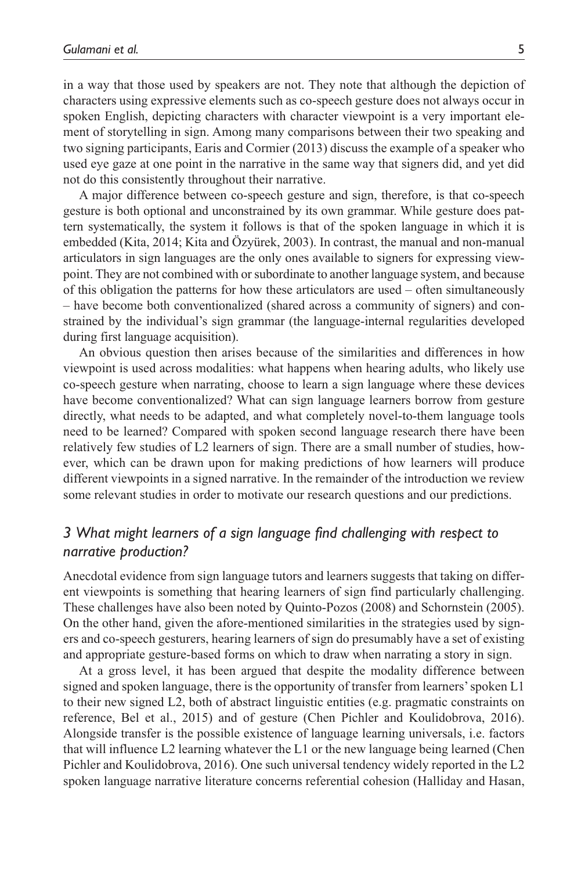in a way that those used by speakers are not. They note that although the depiction of characters using expressive elements such as co-speech gesture does not always occur in spoken English, depicting characters with character viewpoint is a very important element of storytelling in sign. Among many comparisons between their two speaking and two signing participants, Earis and Cormier (2013) discuss the example of a speaker who used eye gaze at one point in the narrative in the same way that signers did, and yet did not do this consistently throughout their narrative.

A major difference between co-speech gesture and sign, therefore, is that co-speech gesture is both optional and unconstrained by its own grammar. While gesture does pattern systematically, the system it follows is that of the spoken language in which it is embedded (Kita, 2014; Kita and Özyürek, 2003). In contrast, the manual and non-manual articulators in sign languages are the only ones available to signers for expressing viewpoint. They are not combined with or subordinate to another language system, and because of this obligation the patterns for how these articulators are used – often simultaneously – have become both conventionalized (shared across a community of signers) and constrained by the individual's sign grammar (the language-internal regularities developed during first language acquisition).

An obvious question then arises because of the similarities and differences in how viewpoint is used across modalities: what happens when hearing adults, who likely use co-speech gesture when narrating, choose to learn a sign language where these devices have become conventionalized? What can sign language learners borrow from gesture directly, what needs to be adapted, and what completely novel-to-them language tools need to be learned? Compared with spoken second language research there have been relatively few studies of L2 learners of sign. There are a small number of studies, however, which can be drawn upon for making predictions of how learners will produce different viewpoints in a signed narrative. In the remainder of the introduction we review some relevant studies in order to motivate our research questions and our predictions.

## *3 What might learners of a sign language find challenging with respect to narrative production?*

Anecdotal evidence from sign language tutors and learners suggests that taking on different viewpoints is something that hearing learners of sign find particularly challenging. These challenges have also been noted by Quinto-Pozos (2008) and Schornstein (2005). On the other hand, given the afore-mentioned similarities in the strategies used by signers and co-speech gesturers, hearing learners of sign do presumably have a set of existing and appropriate gesture-based forms on which to draw when narrating a story in sign.

At a gross level, it has been argued that despite the modality difference between signed and spoken language, there is the opportunity of transfer from learners' spoken L1 to their new signed L2, both of abstract linguistic entities (e.g. pragmatic constraints on reference, Bel et al., 2015) and of gesture (Chen Pichler and Koulidobrova, 2016). Alongside transfer is the possible existence of language learning universals, i.e. factors that will influence L2 learning whatever the L1 or the new language being learned (Chen Pichler and Koulidobrova, 2016). One such universal tendency widely reported in the L2 spoken language narrative literature concerns referential cohesion (Halliday and Hasan,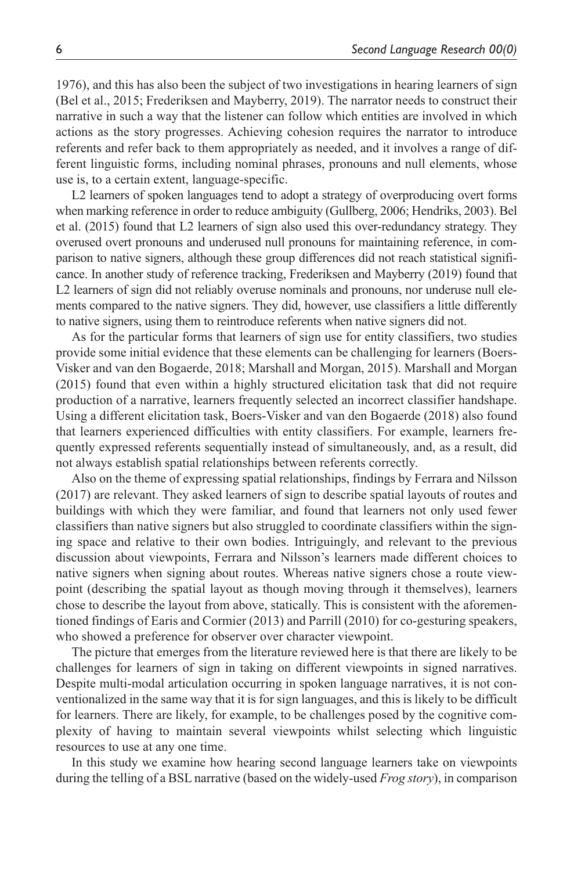1976), and this has also been the subject of two investigations in hearing learners of sign (Bel et al., 2015; Frederiksen and Mayberry, 2019). The narrator needs to construct their narrative in such a way that the listener can follow which entities are involved in which actions as the story progresses. Achieving cohesion requires the narrator to introduce referents and refer back to them appropriately as needed, and it involves a range of different linguistic forms, including nominal phrases, pronouns and null elements, whose use is, to a certain extent, language-specific.

L2 learners of spoken languages tend to adopt a strategy of overproducing overt forms when marking reference in order to reduce ambiguity (Gullberg, 2006; Hendriks, 2003). Bel et al. (2015) found that L2 learners of sign also used this over-redundancy strategy. They overused overt pronouns and underused null pronouns for maintaining reference, in comparison to native signers, although these group differences did not reach statistical significance. In another study of reference tracking, Frederiksen and Mayberry (2019) found that L2 learners of sign did not reliably overuse nominals and pronouns, nor underuse null elements compared to the native signers. They did, however, use classifiers a little differently to native signers, using them to reintroduce referents when native signers did not.

As for the particular forms that learners of sign use for entity classifiers, two studies provide some initial evidence that these elements can be challenging for learners (Boers-Visker and van den Bogaerde, 2018; Marshall and Morgan, 2015). Marshall and Morgan (2015) found that even within a highly structured elicitation task that did not require production of a narrative, learners frequently selected an incorrect classifier handshape. Using a different elicitation task, Boers-Visker and van den Bogaerde (2018) also found that learners experienced difficulties with entity classifiers. For example, learners frequently expressed referents sequentially instead of simultaneously, and, as a result, did not always establish spatial relationships between referents correctly.

Also on the theme of expressing spatial relationships, findings by Ferrara and Nilsson (2017) are relevant. They asked learners of sign to describe spatial layouts of routes and buildings with which they were familiar, and found that learners not only used fewer classifiers than native signers but also struggled to coordinate classifiers within the signing space and relative to their own bodies. Intriguingly, and relevant to the previous discussion about viewpoints, Ferrara and Nilsson's learners made different choices to native signers when signing about routes. Whereas native signers chose a route viewpoint (describing the spatial layout as though moving through it themselves), learners chose to describe the layout from above, statically. This is consistent with the aforementioned findings of Earis and Cormier (2013) and Parrill (2010) for co-gesturing speakers, who showed a preference for observer over character viewpoint.

The picture that emerges from the literature reviewed here is that there are likely to be challenges for learners of sign in taking on different viewpoints in signed narratives. Despite multi-modal articulation occurring in spoken language narratives, it is not conventionalized in the same way that it is for sign languages, and this is likely to be difficult for learners. There are likely, for example, to be challenges posed by the cognitive complexity of having to maintain several viewpoints whilst selecting which linguistic resources to use at any one time.

In this study we examine how hearing second language learners take on viewpoints during the telling of a BSL narrative (based on the widely-used *Frog story*), in comparison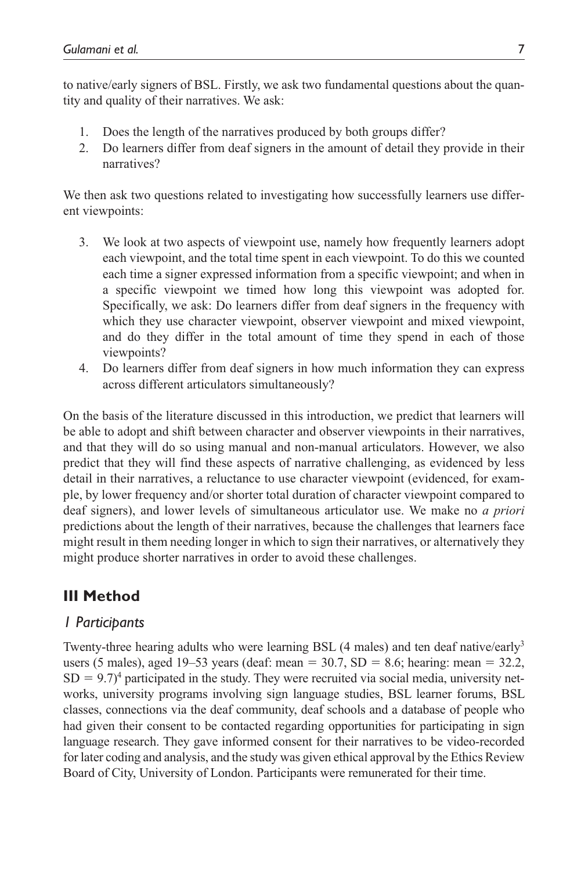to native/early signers of BSL. Firstly, we ask two fundamental questions about the quantity and quality of their narratives. We ask:

- 1. Does the length of the narratives produced by both groups differ?
- 2. Do learners differ from deaf signers in the amount of detail they provide in their narratives?

We then ask two questions related to investigating how successfully learners use different viewpoints:

- 3. We look at two aspects of viewpoint use, namely how frequently learners adopt each viewpoint, and the total time spent in each viewpoint. To do this we counted each time a signer expressed information from a specific viewpoint; and when in a specific viewpoint we timed how long this viewpoint was adopted for. Specifically, we ask: Do learners differ from deaf signers in the frequency with which they use character viewpoint, observer viewpoint and mixed viewpoint, and do they differ in the total amount of time they spend in each of those viewpoints?
- 4. Do learners differ from deaf signers in how much information they can express across different articulators simultaneously?

On the basis of the literature discussed in this introduction, we predict that learners will be able to adopt and shift between character and observer viewpoints in their narratives, and that they will do so using manual and non-manual articulators. However, we also predict that they will find these aspects of narrative challenging, as evidenced by less detail in their narratives, a reluctance to use character viewpoint (evidenced, for example, by lower frequency and/or shorter total duration of character viewpoint compared to deaf signers), and lower levels of simultaneous articulator use. We make no *a priori* predictions about the length of their narratives, because the challenges that learners face might result in them needing longer in which to sign their narratives, or alternatively they might produce shorter narratives in order to avoid these challenges.

# **III Method**

## *1 Participants*

Twenty-three hearing adults who were learning BSL (4 males) and ten deaf native/early<sup>3</sup> users (5 males), aged 19–53 years (deaf: mean =  $30.7$ , SD =  $8.6$ ; hearing: mean =  $32.2$ ,  $SD = 9.7$ <sup>4</sup> participated in the study. They were recruited via social media, university networks, university programs involving sign language studies, BSL learner forums, BSL classes, connections via the deaf community, deaf schools and a database of people who had given their consent to be contacted regarding opportunities for participating in sign language research. They gave informed consent for their narratives to be video-recorded for later coding and analysis, and the study was given ethical approval by the Ethics Review Board of City, University of London. Participants were remunerated for their time.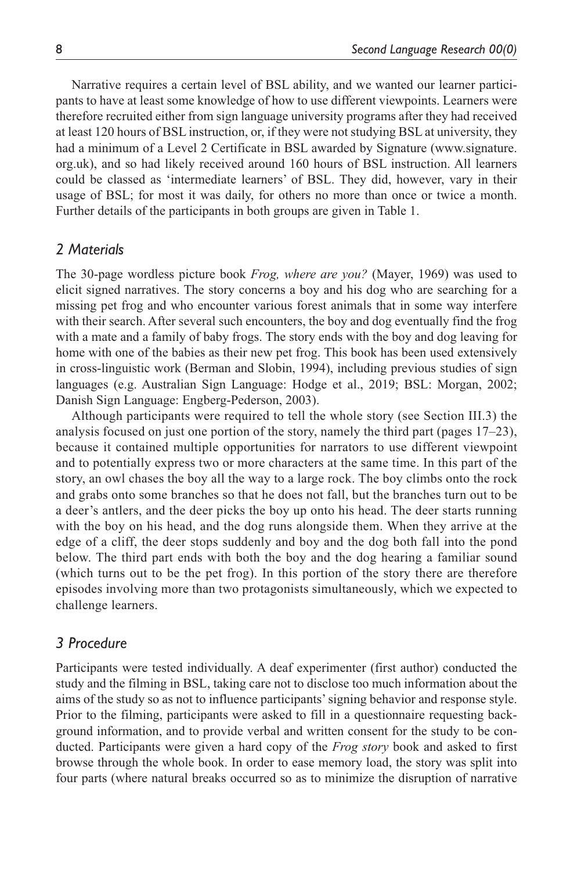Narrative requires a certain level of BSL ability, and we wanted our learner participants to have at least some knowledge of how to use different viewpoints. Learners were therefore recruited either from sign language university programs after they had received at least 120 hours of BSL instruction, or, if they were not studying BSL at university, they had a minimum of a Level 2 Certificate in BSL awarded by Signature [\(www.signature.](www.signature.org.uk) [org.uk](www.signature.org.uk)), and so had likely received around 160 hours of BSL instruction. All learners could be classed as 'intermediate learners' of BSL. They did, however, vary in their usage of BSL; for most it was daily, for others no more than once or twice a month. Further details of the participants in both groups are given in Table 1.

## *2 Materials*

The 30-page wordless picture book *Frog, where are you?* (Mayer, 1969) was used to elicit signed narratives. The story concerns a boy and his dog who are searching for a missing pet frog and who encounter various forest animals that in some way interfere with their search. After several such encounters, the boy and dog eventually find the frog with a mate and a family of baby frogs. The story ends with the boy and dog leaving for home with one of the babies as their new pet frog. This book has been used extensively in cross-linguistic work (Berman and Slobin, 1994), including previous studies of sign languages (e.g. Australian Sign Language: Hodge et al., 2019; BSL: Morgan, 2002; Danish Sign Language: Engberg-Pederson, 2003).

Although participants were required to tell the whole story (see Section III.3) the analysis focused on just one portion of the story, namely the third part (pages 17–23), because it contained multiple opportunities for narrators to use different viewpoint and to potentially express two or more characters at the same time. In this part of the story, an owl chases the boy all the way to a large rock. The boy climbs onto the rock and grabs onto some branches so that he does not fall, but the branches turn out to be a deer's antlers, and the deer picks the boy up onto his head. The deer starts running with the boy on his head, and the dog runs alongside them. When they arrive at the edge of a cliff, the deer stops suddenly and boy and the dog both fall into the pond below. The third part ends with both the boy and the dog hearing a familiar sound (which turns out to be the pet frog). In this portion of the story there are therefore episodes involving more than two protagonists simultaneously, which we expected to challenge learners.

## *3 Procedure*

Participants were tested individually. A deaf experimenter (first author) conducted the study and the filming in BSL, taking care not to disclose too much information about the aims of the study so as not to influence participants' signing behavior and response style. Prior to the filming, participants were asked to fill in a questionnaire requesting background information, and to provide verbal and written consent for the study to be conducted. Participants were given a hard copy of the *Frog story* book and asked to first browse through the whole book. In order to ease memory load, the story was split into four parts (where natural breaks occurred so as to minimize the disruption of narrative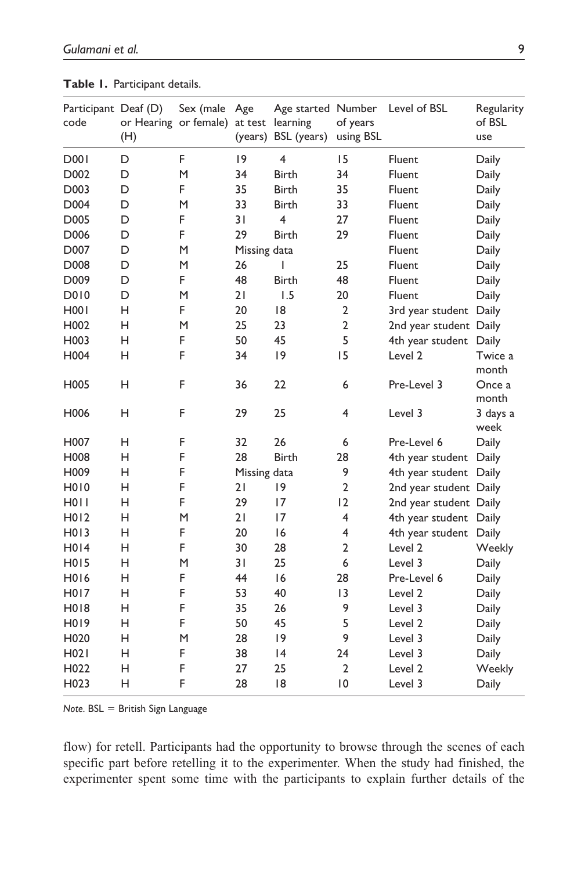| Participant Deaf (D)<br>code | (H) | Sex (male Age<br>or Hearing or female) at test learning |              | Age started Number<br>(years) BSL (years) | of years<br>using BSL | Level of BSL           | Regularity<br>of BSL<br>use |
|------------------------------|-----|---------------------------------------------------------|--------------|-------------------------------------------|-----------------------|------------------------|-----------------------------|
| D001                         | D   | F                                                       | 9            | 4                                         | 15                    | Fluent                 | Daily                       |
| D002                         | D   | M                                                       | 34           | <b>Birth</b>                              | 34                    | Fluent                 | Daily                       |
| D003                         | D   | F.                                                      | 35           | <b>Birth</b>                              | 35                    | Fluent                 | Daily                       |
| D004                         | D   | M                                                       | 33           | <b>Birth</b>                              | 33                    | <b>Fluent</b>          | Daily                       |
| D005                         | D   | F                                                       | 31           | 4                                         | 27                    | Fluent                 | Daily                       |
| D006                         | D   | F.                                                      | 29           | <b>Birth</b>                              | 29                    | Fluent                 | Daily                       |
| D007                         | D   | M                                                       | Missing data |                                           |                       | Fluent                 | Daily                       |
| D008                         | D   | M                                                       | 26           | $\overline{1}$                            | 25                    | Fluent                 | Daily                       |
| D009                         | D   | F.                                                      | 48           | <b>Birth</b>                              | 48                    | Fluent                 | Daily                       |
| <b>D010</b>                  | D   | M                                                       | 21           | 1.5                                       | 20                    | <b>Fluent</b>          | Daily                       |
| <b>H001</b>                  | н   | F.                                                      | 20           | 8                                         | $\overline{2}$        | 3rd year student Daily |                             |
| H002                         | н   | M                                                       | 25           | 23                                        | $\overline{2}$        | 2nd year student Daily |                             |
| H003                         | Н   | F                                                       | 50           | 45                                        | 5                     | 4th year student       | Daily                       |
| H004                         | н   | F                                                       | 34           | 9                                         | 15                    | Level 2                | Twice a<br>month            |
| H005                         | H   | F                                                       | 36           | 22                                        | 6                     | Pre-Level 3            | Once a<br>month             |
| H006                         | н   | F                                                       | 29           | 25                                        | 4                     | Level 3                | 3 days a<br>week            |
| H007                         | н   | F                                                       | 32           | 26                                        | 6                     | Pre-Level 6            | Daily                       |
| H008                         | н   | F                                                       | 28           | <b>Birth</b>                              | 28                    | 4th year student       | Daily                       |
| H009                         | Η   | F                                                       | Missing data |                                           | 9                     | 4th year student Daily |                             |
| <b>H010</b>                  | H   | F                                                       | 21           | 9                                         | $\overline{2}$        | 2nd year student Daily |                             |
| <b>H011</b>                  | н   | F                                                       | 29           | 17                                        | 12                    | 2nd year student Daily |                             |
| H <sub>0</sub> 12            | н   | M                                                       | 21           | 17                                        | $\overline{4}$        | 4th year student Daily |                             |
| H013                         | н   | F                                                       | 20           | 16                                        | 4                     | 4th year student       | Daily                       |
| H014                         | н   | F                                                       | 30           | 28                                        | $\overline{2}$        | Level <sub>2</sub>     | Weekly                      |
| H <sub>0</sub> 15            | н   | M                                                       | 31           | 25                                        | 6                     | Level 3                | Daily                       |
| H016                         | н   | F                                                       | 44           | 16                                        | 28                    | Pre-Level 6            | Daily                       |
| H017                         | н   | F                                                       | 53           | 40                                        | 13                    | Level 2                | Daily                       |
| H <sub>0</sub> 18            | H   | F                                                       | 35           | 26                                        | 9                     | Level 3                | Daily                       |
| H019                         | н   | F                                                       | 50           | 45                                        | 5                     | Level <sub>2</sub>     | Daily                       |
| H <sub>0</sub> 20            | н   | M                                                       | 28           | 9                                         | 9                     | Level 3                | Daily                       |
| H021                         | Η   | F                                                       | 38           | 4                                         | 24                    | Level 3                | Daily                       |
| H022                         | н   | F                                                       | 27           | 25                                        | 2                     | Level 2                | Weekly                      |
| H023                         | н   | F                                                       | 28           | 8                                         | 0                     | Level 3                | Daily                       |

**Table 1.** Participant details.

*Note*. BSL = British Sign Language

flow) for retell. Participants had the opportunity to browse through the scenes of each specific part before retelling it to the experimenter. When the study had finished, the experimenter spent some time with the participants to explain further details of the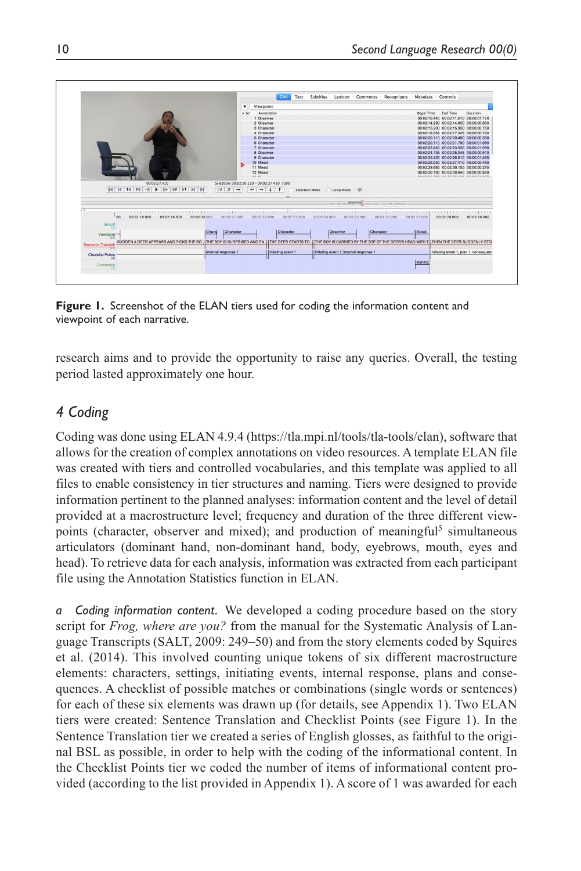|                                                                                                                                                                                                                                                             | Crid                                                                                                                        |                              | Text Subtitles Lexicon Comments Recognizers                |              | Metadata Controls |                                                   |              |
|-------------------------------------------------------------------------------------------------------------------------------------------------------------------------------------------------------------------------------------------------------------|-----------------------------------------------------------------------------------------------------------------------------|------------------------------|------------------------------------------------------------|--------------|-------------------|---------------------------------------------------|--------------|
|                                                                                                                                                                                                                                                             | $\cdot$<br>Viewpoint                                                                                                        |                              |                                                            |              |                   |                                                   |              |
|                                                                                                                                                                                                                                                             | Annotation<br>$>$ Nr                                                                                                        |                              |                                                            |              | Begin Time        | End Time                                          | Duration     |
|                                                                                                                                                                                                                                                             | 1 Observer                                                                                                                  |                              |                                                            |              |                   | 00:02:10:440 00:02:11.610 00:00:01.170            |              |
|                                                                                                                                                                                                                                                             | 2 Observer                                                                                                                  |                              |                                                            |              |                   | 00:02:14.290 00:02:14.950 00:00:00.660            |              |
|                                                                                                                                                                                                                                                             | 3 Character                                                                                                                 |                              |                                                            |              |                   | 00:02:15.200 00:02:15.950 00:00:00.750            |              |
|                                                                                                                                                                                                                                                             | 4 Character                                                                                                                 |                              |                                                            |              |                   | 00:02:16:555 00:02:17:345 00:00:00.790            |              |
|                                                                                                                                                                                                                                                             | 5 Character                                                                                                                 |                              |                                                            |              |                   | 00:02:20.110 00:02:20.490 00:00:00.380            |              |
|                                                                                                                                                                                                                                                             | 6 Character                                                                                                                 |                              |                                                            |              |                   | 00:02:20.710 00:02:21.790 00:00:01.080            |              |
|                                                                                                                                                                                                                                                             | 7 Character                                                                                                                 |                              |                                                            |              |                   | 00:02:22.440 00:02:23.530 00:00:01.090            |              |
|                                                                                                                                                                                                                                                             | 8 Observer                                                                                                                  |                              |                                                            |              |                   | 00:02:24.135 00:02:25.045 00:00:00.910            |              |
|                                                                                                                                                                                                                                                             | 9 Character                                                                                                                 |                              |                                                            |              |                   | 00:02:25:450 00:02:26.910 00:00:01.460            |              |
|                                                                                                                                                                                                                                                             | 10 Mixed                                                                                                                    |                              |                                                            |              |                   | 00:02:26.950 00:02:27.410 00:00:00.460            |              |
|                                                                                                                                                                                                                                                             | 11 Mixed                                                                                                                    |                              |                                                            |              |                   | 00:02:29.885 00:02:30.155 00:00:00.270            |              |
|                                                                                                                                                                                                                                                             |                                                                                                                             |                              |                                                            |              |                   |                                                   |              |
| 00:02:27.410<br>$\mathbb{H} \left[ \begin{array}{c c c c c c} \mathbb{H} & \mathbb{H} & \mathbb{H} & \mathbb{H} & \mathbb{H} & \mathbb{H} & \mathbb{H} & \mathbb{H} & \mathbb{H} & \mathbb{H} & \mathbb{H} & \mathbb{H} \end{array} \right] \right]$<br>DSS | 12 Mixed<br>18.81<br>Selection: 00:02:20.110 - 00:02:27.410 7300<br>$\rightarrow$<br>$\leftarrow$<br>$\rightarrow$<br>$+$ 1 | Selection Mode               | Loop Mode (3)                                              |              |                   | 00:02:30.190 00:02:30.840 00:00:00.650            |              |
|                                                                                                                                                                                                                                                             |                                                                                                                             |                              |                                                            |              |                   |                                                   |              |
|                                                                                                                                                                                                                                                             |                                                                                                                             |                              |                                                            |              |                   |                                                   |              |
| - 5                                                                                                                                                                                                                                                         |                                                                                                                             |                              |                                                            |              |                   | A residence in the account of a manual production |              |
| 00<br>00:02:18.000<br>00:02:19.000<br>00:02:20.000                                                                                                                                                                                                          | 00:02:22.000<br>00:02:21.000                                                                                                | 00:02:23.000<br>00:02:24.000 | 00:02:25.000                                               | 00:02:26.000 | 00:02:27.000      | 00:02:28.000                                      | 00:02:29.000 |
| default                                                                                                                                                                                                                                                     |                                                                                                                             |                              |                                                            |              |                   |                                                   |              |
| 111<br>Charal                                                                                                                                                                                                                                               | Character<br>Character                                                                                                      |                              | Character<br><b>Coserver</b>                               |              | <b>Il Mixed</b>   |                                                   |              |
| Viewpoint-                                                                                                                                                                                                                                                  |                                                                                                                             |                              |                                                            |              |                   |                                                   |              |
| SUDDEN A DEER APPEARS AND PICKS THE BO                                                                                                                                                                                                                      | THE BOY IS SURPRISED AND EN<br><b>I THE DEER STARTS TO</b>                                                                  |                              | II THE BOY IS CARRIED BY THE TOP OF THE DEER'S HEAD WITH T |              |                   | <b>ITHEN THE DEER SUDDENLY STO</b>                |              |
| <b>Sentence Translati</b>                                                                                                                                                                                                                                   |                                                                                                                             |                              |                                                            |              |                   |                                                   |              |
| linternal response 1                                                                                                                                                                                                                                        | Initating event 1                                                                                                           |                              | initating event 1, internal response                       |              |                   | initating event 1, plan 1, consequen-             |              |
| <b>Checklist Points</b><br>(5)                                                                                                                                                                                                                              |                                                                                                                             |                              |                                                            |              | signing           |                                                   |              |

**Figure 1.** Screenshot of the ELAN tiers used for coding the information content and viewpoint of each narrative.

research aims and to provide the opportunity to raise any queries. Overall, the testing period lasted approximately one hour.

## *4 Coding*

Coding was done using ELAN 4.9.4 [\(https://tla.mpi.nl/tools/tla-tools/elan\)](https://tla.mpi.nl/tools/tla-tools/elan), software that allows for the creation of complex annotations on video resources. A template ELAN file was created with tiers and controlled vocabularies, and this template was applied to all files to enable consistency in tier structures and naming. Tiers were designed to provide information pertinent to the planned analyses: information content and the level of detail provided at a macrostructure level; frequency and duration of the three different viewpoints (character, observer and mixed); and production of meaningful<sup>5</sup> simultaneous articulators (dominant hand, non-dominant hand, body, eyebrows, mouth, eyes and head). To retrieve data for each analysis, information was extracted from each participant file using the Annotation Statistics function in ELAN.

*a Coding information content.* We developed a coding procedure based on the story script for *Frog, where are you?* from the manual for the Systematic Analysis of Language Transcripts (SALT, 2009: 249–50) and from the story elements coded by Squires et al. (2014). This involved counting unique tokens of six different macrostructure elements: characters, settings, initiating events, internal response, plans and consequences. A checklist of possible matches or combinations (single words or sentences) for each of these six elements was drawn up (for details, see Appendix 1). Two ELAN tiers were created: Sentence Translation and Checklist Points (see Figure 1). In the Sentence Translation tier we created a series of English glosses, as faithful to the original BSL as possible, in order to help with the coding of the informational content. In the Checklist Points tier we coded the number of items of informational content provided (according to the list provided in Appendix 1). A score of 1 was awarded for each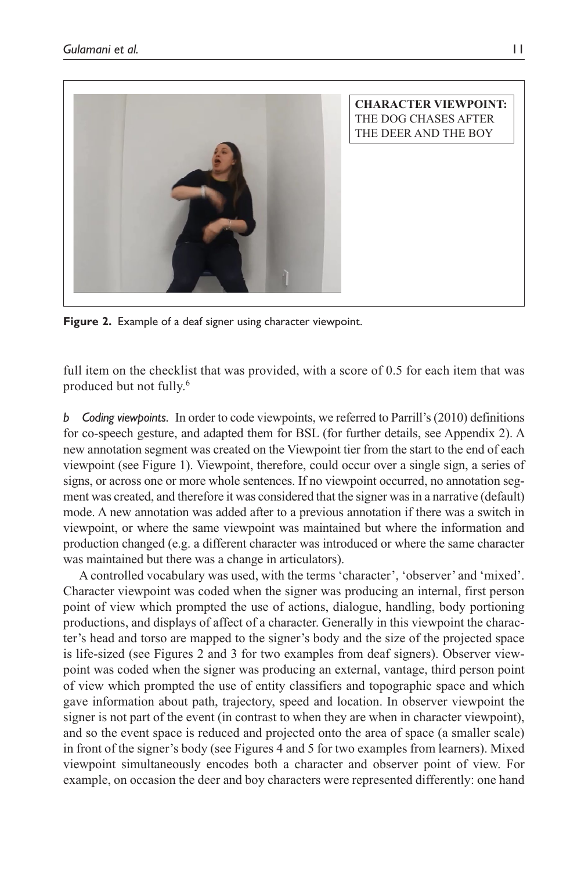

**Figure 2.** Example of a deaf signer using character viewpoint.

full item on the checklist that was provided, with a score of 0.5 for each item that was produced but not fully.6

*b Coding viewpoints.* In order to code viewpoints, we referred to Parrill's (2010) definitions for co-speech gesture, and adapted them for BSL (for further details, see Appendix 2). A new annotation segment was created on the Viewpoint tier from the start to the end of each viewpoint (see Figure 1). Viewpoint, therefore, could occur over a single sign, a series of signs, or across one or more whole sentences. If no viewpoint occurred, no annotation segment was created, and therefore it was considered that the signer was in a narrative (default) mode. A new annotation was added after to a previous annotation if there was a switch in viewpoint, or where the same viewpoint was maintained but where the information and production changed (e.g. a different character was introduced or where the same character was maintained but there was a change in articulators).

A controlled vocabulary was used, with the terms 'character', 'observer' and 'mixed'. Character viewpoint was coded when the signer was producing an internal, first person point of view which prompted the use of actions, dialogue, handling, body portioning productions, and displays of affect of a character. Generally in this viewpoint the character's head and torso are mapped to the signer's body and the size of the projected space is life-sized (see Figures 2 and 3 for two examples from deaf signers). Observer viewpoint was coded when the signer was producing an external, vantage, third person point of view which prompted the use of entity classifiers and topographic space and which gave information about path, trajectory, speed and location. In observer viewpoint the signer is not part of the event (in contrast to when they are when in character viewpoint), and so the event space is reduced and projected onto the area of space (a smaller scale) in front of the signer's body (see Figures 4 and 5 for two examples from learners). Mixed viewpoint simultaneously encodes both a character and observer point of view. For example, on occasion the deer and boy characters were represented differently: one hand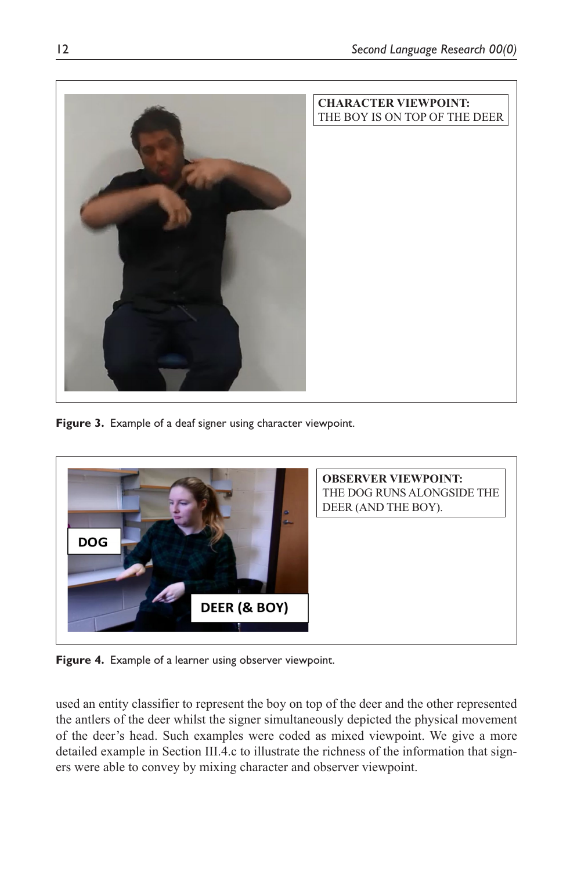

**Figure 3.** Example of a deaf signer using character viewpoint.



**Figure 4.** Example of a learner using observer viewpoint.

used an entity classifier to represent the boy on top of the deer and the other represented the antlers of the deer whilst the signer simultaneously depicted the physical movement of the deer's head. Such examples were coded as mixed viewpoint. We give a more detailed example in Section III.4.c to illustrate the richness of the information that signers were able to convey by mixing character and observer viewpoint.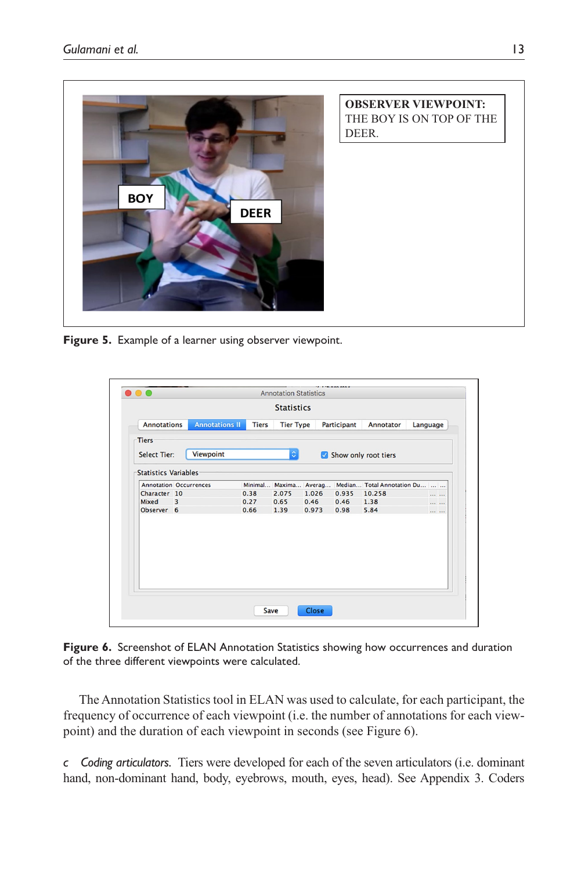

**Figure 5.** Example of a learner using observer viewpoint.

|                               |                       |              | <b>Statistics</b>  |               |             |                            |                 |
|-------------------------------|-----------------------|--------------|--------------------|---------------|-------------|----------------------------|-----------------|
|                               |                       |              |                    |               |             |                            |                 |
| <b>Annotations</b>            | <b>Annotations II</b> | <b>Tiers</b> | <b>Tier Type</b>   |               | Participant | Annotator                  | Language        |
| <b>Tiers</b>                  |                       |              |                    |               |             |                            |                 |
| <b>Select Tier:</b>           | Viewpoint             |              | $\hat{\mathbf{c}}$ |               |             | Show only root tiers       |                 |
| <b>Statistics Variables</b>   |                       |              |                    |               |             |                            |                 |
| <b>Annotation Occurrences</b> |                       | Minimal      |                    | Maxima Averag |             | Median Total Annotation Du |                 |
| Character 10                  |                       | 0.38         | 2.075              | 1.026         | 0.935       | 10.258                     | <b>ARR 200</b>  |
| 3<br>Mixed                    |                       | 0.27         | 0.65               | 0.46          | 0.46        | 1.38                       | $111 - 111$     |
| Observer 6                    |                       | 0.66         | 1.39               | 0.973         | 0.98        | 5.84                       | <b>ARR 2004</b> |
|                               |                       |              |                    |               |             |                            |                 |
|                               |                       |              |                    |               |             |                            |                 |

Figure 6. Screenshot of ELAN Annotation Statistics showing how occurrences and duration of the three different viewpoints were calculated.

The Annotation Statistics tool in ELAN was used to calculate, for each participant, the frequency of occurrence of each viewpoint (i.e. the number of annotations for each viewpoint) and the duration of each viewpoint in seconds (see Figure 6).

*c Coding articulators.* Tiers were developed for each of the seven articulators (i.e. dominant hand, non-dominant hand, body, eyebrows, mouth, eyes, head). See Appendix 3. Coders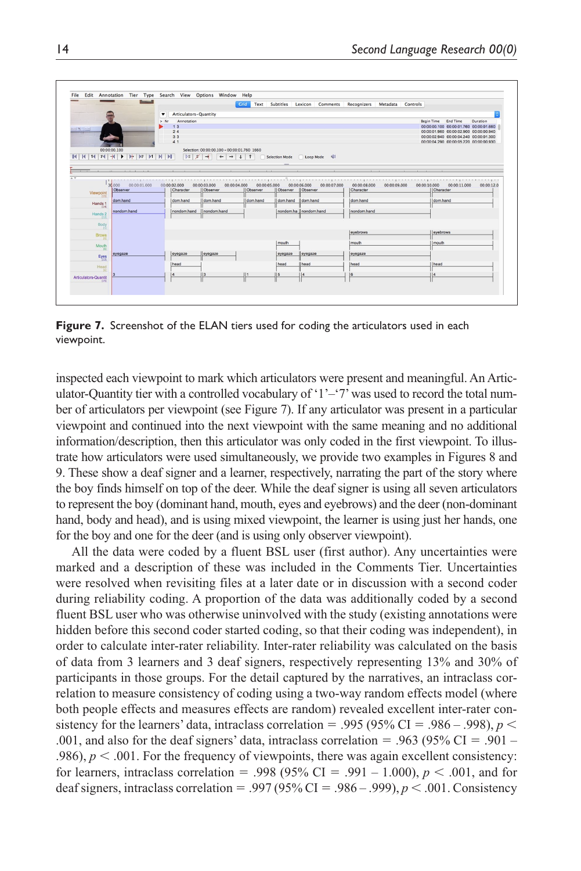|                              |                                            |                       |                                             |                          |                      | Grid Text Subtitles Lexicon Comments Recognizers Metadata Controls |                           |              |              |                                                               |            |
|------------------------------|--------------------------------------------|-----------------------|---------------------------------------------|--------------------------|----------------------|--------------------------------------------------------------------|---------------------------|--------------|--------------|---------------------------------------------------------------|------------|
|                              |                                            |                       |                                             |                          |                      |                                                                    |                           |              |              |                                                               |            |
|                              | $\cdot$                                    | Articulators-Quantity |                                             |                          |                      |                                                                    |                           |              |              |                                                               |            |
|                              | $>$ Nr                                     | Annotation<br>13      |                                             |                          |                      |                                                                    |                           |              |              | Begin Time End Time<br>00:00:00.100 00:00:01.760 00:00:01.660 | Duration   |
| 河南河边                         |                                            | 24                    |                                             |                          |                      |                                                                    |                           |              |              | 00:00:01.960 00:00:02.900 00:00:00.940                        |            |
|                              |                                            | 33                    |                                             |                          |                      |                                                                    |                           |              |              | 00:00:02 940 00:00:04 240 00:00:01.300                        |            |
|                              |                                            | 41                    |                                             |                          |                      |                                                                    |                           |              |              | 00:00:04 290 00:00:05 220 00:00:00 930                        |            |
|                              | 00:00:00.100                               |                       | Selection: 00:00:00.100 - 00:00:01.760 1660 |                          |                      |                                                                    |                           |              |              |                                                               |            |
| $14$ 14                      | $F$ $+$<br>$ b $ $ bF $ $ b1 $ $ b $ $ b $ | DSS                   | $\rightarrow$                               |                          | Selection Mode       | Loop Mode 4                                                        |                           |              |              |                                                               |            |
|                              |                                            |                       |                                             |                          |                      |                                                                    |                           |              |              |                                                               |            |
|                              | the contract of the contract of the        |                       |                                             |                          |                      |                                                                    |                           |              |              |                                                               |            |
| $A$ $V$                      |                                            |                       |                                             |                          |                      |                                                                    |                           |              |              |                                                               |            |
|                              |                                            |                       |                                             |                          |                      |                                                                    |                           |              |              |                                                               |            |
|                              | 00.000 00:00:01.000                        | 00:00:02.000          | 00:00:04.000<br>00:00:03.000<br>Observer    | 00:00:05.000<br>Observer | Observer             | 00:00:06.000<br>00:00:07.000<br>Observer                           | 00:00:08.000<br>Character | 00:00:09.000 | 00:00:10.000 | 00:00:11.000<br>Character                                     | 00:00:12.0 |
|                              |                                            |                       |                                             |                          |                      |                                                                    |                           |              |              |                                                               |            |
|                              | Observer                                   | Character             |                                             |                          |                      |                                                                    |                           |              |              |                                                               |            |
| Viewpoint                    | dom.hand                                   | dom.hand              | dom.hand                                    | dom.hand                 | dom hand Il dom hand |                                                                    | dom hand                  |              |              | dom hand                                                      |            |
| Hands:<br>114                |                                            |                       |                                             |                          |                      |                                                                    |                           |              |              |                                                               |            |
| Hands <sub>2</sub>           | nondom.hand                                | nondom.hand           | nondom.hand                                 |                          |                      | nondom.ha   nondom.hand                                            | nondom.hand               |              |              |                                                               |            |
| [12]                         |                                            |                       |                                             |                          |                      |                                                                    |                           |              |              |                                                               |            |
| Body                         |                                            |                       |                                             |                          |                      |                                                                    |                           |              |              |                                                               |            |
| <b>Brows</b>                 |                                            |                       |                                             |                          |                      |                                                                    | eyebrows                  |              |              | eyebrows                                                      |            |
| $-151$                       |                                            |                       |                                             |                          |                      |                                                                    |                           |              |              |                                                               |            |
| Mouth<br>$-063$              |                                            |                       |                                             |                          | mouth                |                                                                    | mouth                     |              |              | mouth                                                         |            |
|                              | eyegaze                                    | eyegaze               | leyegaze                                    |                          | eyegaze              | eyegaze                                                            | eyegaze                   |              |              |                                                               |            |
| Eyes                         |                                            |                       |                                             |                          |                      |                                                                    |                           |              |              |                                                               |            |
| Head                         |                                            | head                  |                                             |                          | head                 | head                                                               | head                      |              |              | Ihead                                                         |            |
|                              |                                            |                       |                                             |                          |                      |                                                                    |                           |              |              |                                                               |            |
| Articulators-Quantit<br>[15] |                                            |                       |                                             |                          |                      |                                                                    | 6                         |              |              |                                                               |            |

Figure 7. Screenshot of the ELAN tiers used for coding the articulators used in each viewpoint.

inspected each viewpoint to mark which articulators were present and meaningful. An Articulator-Quantity tier with a controlled vocabulary of ' $1 - 7$ ' was used to record the total number of articulators per viewpoint (see Figure 7). If any articulator was present in a particular viewpoint and continued into the next viewpoint with the same meaning and no additional information/description, then this articulator was only coded in the first viewpoint. To illustrate how articulators were used simultaneously, we provide two examples in Figures 8 and 9. These show a deaf signer and a learner, respectively, narrating the part of the story where the boy finds himself on top of the deer. While the deaf signer is using all seven articulators to represent the boy (dominant hand, mouth, eyes and eyebrows) and the deer (non-dominant hand, body and head), and is using mixed viewpoint, the learner is using just her hands, one for the boy and one for the deer (and is using only observer viewpoint).

All the data were coded by a fluent BSL user (first author). Any uncertainties were marked and a description of these was included in the Comments Tier. Uncertainties were resolved when revisiting files at a later date or in discussion with a second coder during reliability coding. A proportion of the data was additionally coded by a second fluent BSL user who was otherwise uninvolved with the study (existing annotations were hidden before this second coder started coding, so that their coding was independent), in order to calculate inter-rater reliability. Inter-rater reliability was calculated on the basis of data from 3 learners and 3 deaf signers, respectively representing 13% and 30% of participants in those groups. For the detail captured by the narratives, an intraclass correlation to measure consistency of coding using a two-way random effects model (where both people effects and measures effects are random) revealed excellent inter-rater consistency for the learners' data, intraclass correlation = .995 (95% CI = .986 – .998),  $p <$ .001, and also for the deaf signers' data, intraclass correlation = .963 (95% CI = .901 – .986),  $p < .001$ . For the frequency of viewpoints, there was again excellent consistency: for learners, intraclass correlation = .998 (95% CI = .991 – 1.000),  $p < .001$ , and for deaf signers, intraclass correlation = .997 (95% CI = .986 – .999), *p* < .001. Consistency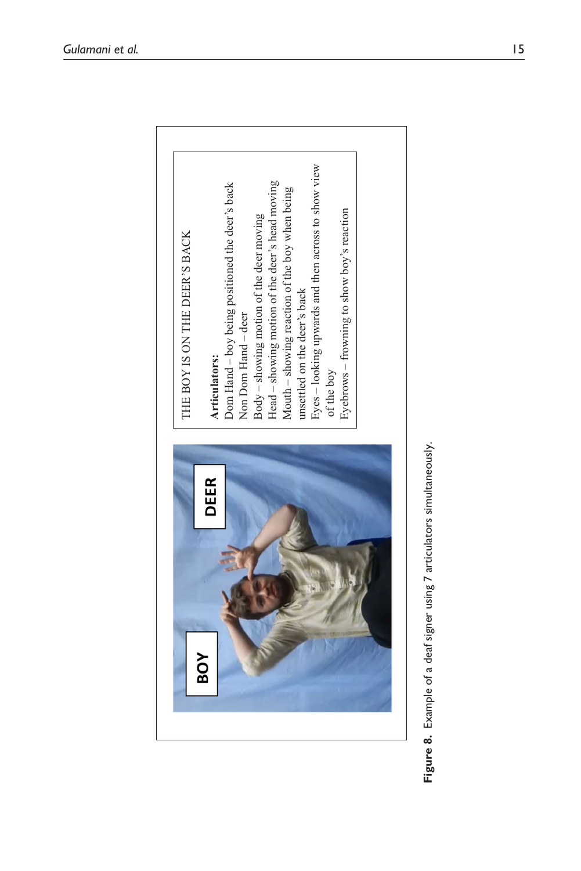

Figure 8. Example of a deaf signer using 7 articulators simultaneously. **Figure 8.** Example of a deaf signer using 7 articulators simultaneously.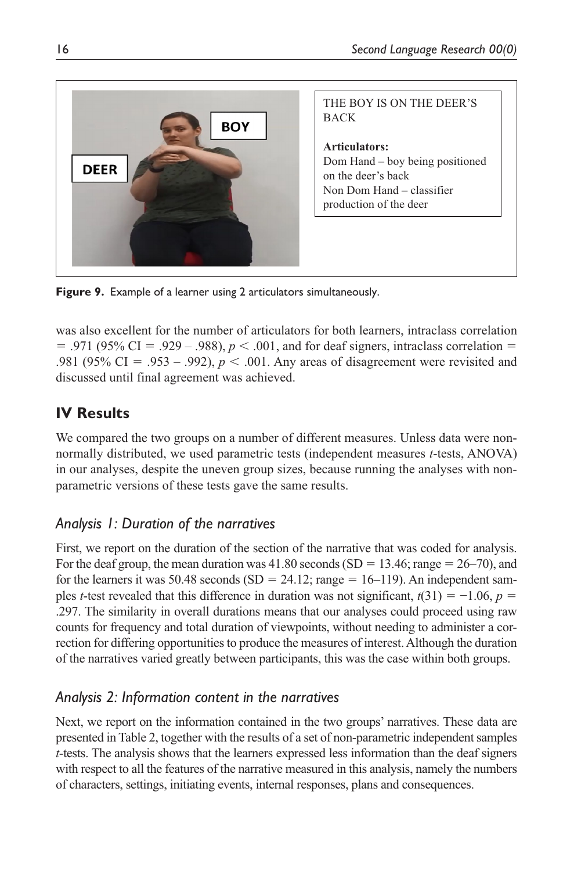

**Figure 9.** Example of a learner using 2 articulators simultaneously.

was also excellent for the number of articulators for both learners, intraclass correlation  $= .971$  (95% CI  $= .929 - .988$ ),  $p < .001$ , and for deaf signers, intraclass correlation  $=$ .981 (95% CI = .953 – .992),  $p < .001$ . Any areas of disagreement were revisited and discussed until final agreement was achieved.

# **IV Results**

We compared the two groups on a number of different measures. Unless data were nonnormally distributed, we used parametric tests (independent measures *t*-tests, ANOVA) in our analyses, despite the uneven group sizes, because running the analyses with nonparametric versions of these tests gave the same results.

# *Analysis 1: Duration of the narratives*

First, we report on the duration of the section of the narrative that was coded for analysis. For the deaf group, the mean duration was 41.80 seconds (SD = 13.46; range =  $26-70$ ), and for the learners it was 50.48 seconds (SD = 24.12; range = 16–119). An independent samples *t*-test revealed that this difference in duration was not significant,  $t(31) = -1.06$ ,  $p =$ .297. The similarity in overall durations means that our analyses could proceed using raw counts for frequency and total duration of viewpoints, without needing to administer a correction for differing opportunities to produce the measures of interest. Although the duration of the narratives varied greatly between participants, this was the case within both groups.

# *Analysis 2: Information content in the narratives*

Next, we report on the information contained in the two groups' narratives. These data are presented in Table 2, together with the results of a set of non-parametric independent samples *t*-tests. The analysis shows that the learners expressed less information than the deaf signers with respect to all the features of the narrative measured in this analysis, namely the numbers of characters, settings, initiating events, internal responses, plans and consequences.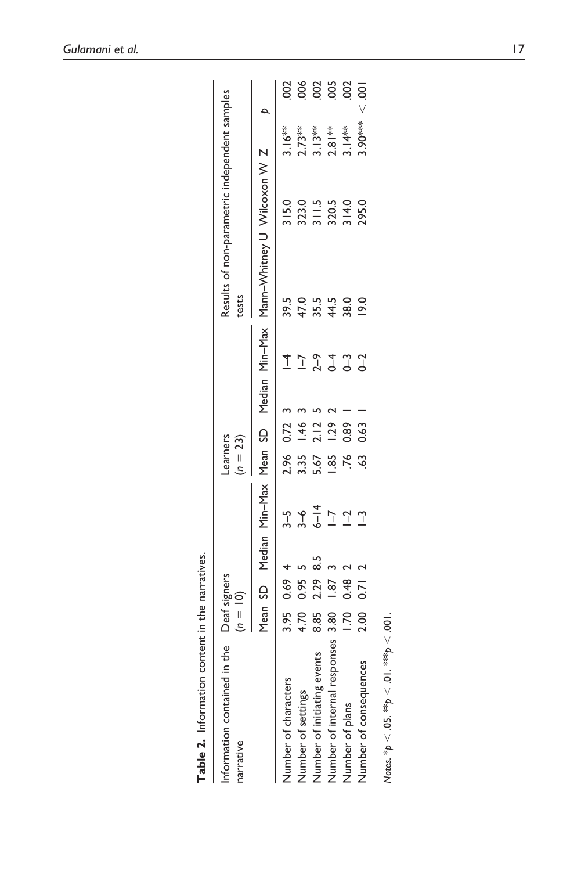| Table 2. Information content in the narratives. |                            |      |     |                                 |                       |                        |  |                                                                           |                                        |  |
|-------------------------------------------------|----------------------------|------|-----|---------------------------------|-----------------------|------------------------|--|---------------------------------------------------------------------------|----------------------------------------|--|
| the<br>Information contained in<br>narrative    | Deaf signers<br>$(n = 10)$ |      |     |                                 | earners<br>$(n = 23)$ |                        |  | Results of non-parametric independent samples<br>tests                    |                                        |  |
|                                                 |                            |      |     |                                 |                       |                        |  | Mean SD Median Min-Max Mean SD Median Min-Max Mann-Whitney U Wilcoxon W Z |                                        |  |
| Number of characters                            |                            | 0.69 |     |                                 |                       | 0.72                   |  |                                                                           |                                        |  |
| Number of settings                              | 3.95<br>4.70<br>8.85       |      |     |                                 |                       |                        |  |                                                                           |                                        |  |
| Number of initiating events                     |                            | 0.95 | 5.8 | $3 - 6$<br>$-6$<br>$-7$<br>$-7$ | 25558<br>25558        | $1.46$<br>2.12<br>1.29 |  | 5<br>5 5 5 5 6<br>5 6 7 5 8<br>5 9 5 9 6                                  | $3.16**$<br>2.73**<br>3.13**<br>2.81** |  |
| Number of internal responses                    | 3.80                       | 1.87 |     |                                 |                       |                        |  |                                                                           |                                        |  |
| Number of plans                                 | 1.70                       | 0.48 |     | $\Gamma$                        | $\overline{76}$       | 0.89                   |  |                                                                           |                                        |  |
| Number of consequences                          | 2.00                       | 0.71 |     | $\mathbf{r}$                    | SS.                   | 0.63                   |  | $\frac{0}{2}$                                                             | 3.90***                                |  |
| Notes. *p < .05. **p < .01. ***p < .001         |                            |      |     |                                 |                       |                        |  |                                                                           |                                        |  |

| !           |
|-------------|
| í           |
| ı<br>nn+nn- |
|             |
|             |
| )<br>!<br>i |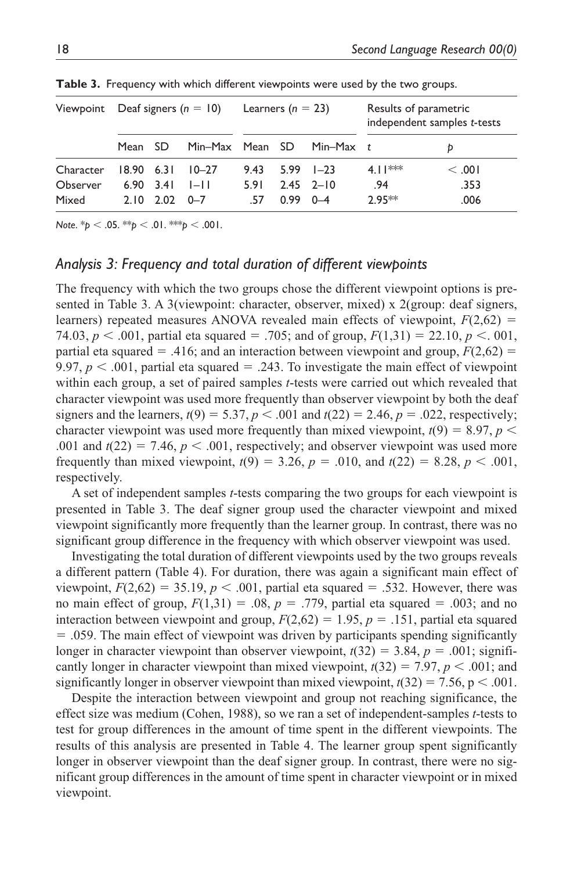| Viewpoint Deaf signers $(n = 10)$ |                    |                            |                  | Learners ( $n = 23$ ) |                    |                 | Results of parametric | independent samples t-tests |
|-----------------------------------|--------------------|----------------------------|------------------|-----------------------|--------------------|-----------------|-----------------------|-----------------------------|
|                                   | Mean SD            |                            | Min-Max Mean SD  |                       |                    | Min-Max $t$     |                       | D                           |
| Character                         | $18.90 \quad 6.31$ |                            | $10 - 27$        | 9.43                  |                    | $5.99$ $1 - 23$ | $4.11***$             | $<$ .001                    |
| Observer<br>Mixed                 |                    | $6.90$ $3.41$<br>2.10 2.02 | $ - $<br>$0 - 7$ | 5.91<br>- 57          | $0.99 \quad 0 - 4$ | $2.45$ $2 - 10$ | .94<br>$2.95**$       | .353<br>.006                |

**Table 3.** Frequency with which different viewpoints were used by the two groups.

*Note*. \**p* < .05. \*\**p* < .01. \*\*\**p* < .001.

## *Analysis 3: Frequency and total duration of different viewpoints*

The frequency with which the two groups chose the different viewpoint options is presented in Table 3. A 3(viewpoint: character, observer, mixed) x 2(group: deaf signers, learners) repeated measures ANOVA revealed main effects of viewpoint,  $F(2,62)$  = 74.03,  $p < .001$ , partial eta squared = .705; and of group,  $F(1,31) = 22.10, p < .001$ , partial eta squared  $=$  .416; and an interaction between viewpoint and group,  $F(2,62) =$ 9.97,  $p < .001$ , partial eta squared  $= .243$ . To investigate the main effect of viewpoint within each group, a set of paired samples *t*-tests were carried out which revealed that character viewpoint was used more frequently than observer viewpoint by both the deaf signers and the learners,  $t(9) = 5.37$ ,  $p < .001$  and  $t(22) = 2.46$ ,  $p = .022$ , respectively; character viewpoint was used more frequently than mixed viewpoint,  $t(9) = 8.97$ ,  $p <$ .001 and  $t(22) = 7.46$ ,  $p < .001$ , respectively; and observer viewpoint was used more frequently than mixed viewpoint,  $t(9) = 3.26$ ,  $p = .010$ , and  $t(22) = 8.28$ ,  $p < .001$ , respectively.

A set of independent samples *t*-tests comparing the two groups for each viewpoint is presented in Table 3. The deaf signer group used the character viewpoint and mixed viewpoint significantly more frequently than the learner group. In contrast, there was no significant group difference in the frequency with which observer viewpoint was used.

Investigating the total duration of different viewpoints used by the two groups reveals a different pattern (Table 4). For duration, there was again a significant main effect of viewpoint,  $F(2,62) = 35.19$ ,  $p < .001$ , partial eta squared = .532. However, there was no main effect of group,  $F(1,31) = .08$ ,  $p = .779$ , partial eta squared = .003; and no interaction between viewpoint and group,  $F(2,62) = 1.95$ ,  $p = .151$ , partial eta squared = .059. The main effect of viewpoint was driven by participants spending significantly longer in character viewpoint than observer viewpoint,  $t(32) = 3.84$ ,  $p = .001$ ; significantly longer in character viewpoint than mixed viewpoint,  $t(32) = 7.97$ ,  $p < .001$ ; and significantly longer in observer viewpoint than mixed viewpoint,  $t(32) = 7.56$ ,  $p < .001$ .

Despite the interaction between viewpoint and group not reaching significance, the effect size was medium (Cohen, 1988), so we ran a set of independent-samples *t*-tests to test for group differences in the amount of time spent in the different viewpoints. The results of this analysis are presented in Table 4. The learner group spent significantly longer in observer viewpoint than the deaf signer group. In contrast, there were no significant group differences in the amount of time spent in character viewpoint or in mixed viewpoint.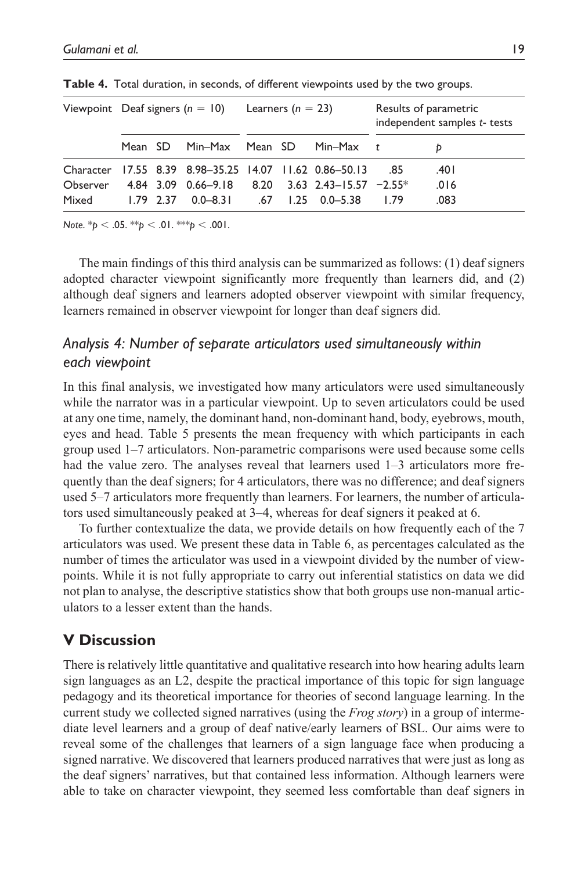|          |         | Viewpoint Deaf signers ( $n = 10$ ) Learners ( $n = 23$ ) |  |             |            | Results of parametric<br>independent samples t- tests |
|----------|---------|-----------------------------------------------------------|--|-------------|------------|-------------------------------------------------------|
|          | Mean SD | Min–Max Mean SD                                           |  | Min-Max $t$ |            |                                                       |
|          |         | Character 17.55 8.39 8.98-35.25 14.07 11.62 0.86-50.13    |  |             | - 85       | .401                                                  |
| Observer |         | 4.84 3.09 0.66-9.18 8.20 3.63 2.43-15.57 $-2.55*$         |  |             |            | .016                                                  |
| Mixed    |         | $1.79$ 2.37 0.0–8.31 .67 1.25 0.0–5.38                    |  |             | <b>179</b> | .083                                                  |

**Table 4.** Total duration, in seconds, of different viewpoints used by the two groups.

*Note*. \**p* < .05. \*\**p* < .01. \*\*\**p* < .001.

The main findings of this third analysis can be summarized as follows: (1) deaf signers adopted character viewpoint significantly more frequently than learners did, and (2) although deaf signers and learners adopted observer viewpoint with similar frequency, learners remained in observer viewpoint for longer than deaf signers did.

## *Analysis 4: Number of separate articulators used simultaneously within each viewpoint*

In this final analysis, we investigated how many articulators were used simultaneously while the narrator was in a particular viewpoint. Up to seven articulators could be used at any one time, namely, the dominant hand, non-dominant hand, body, eyebrows, mouth, eyes and head. Table 5 presents the mean frequency with which participants in each group used 1–7 articulators. Non-parametric comparisons were used because some cells had the value zero. The analyses reveal that learners used  $1-3$  articulators more frequently than the deaf signers; for 4 articulators, there was no difference; and deaf signers used 5–7 articulators more frequently than learners. For learners, the number of articulators used simultaneously peaked at 3–4, whereas for deaf signers it peaked at 6.

To further contextualize the data, we provide details on how frequently each of the 7 articulators was used. We present these data in Table 6, as percentages calculated as the number of times the articulator was used in a viewpoint divided by the number of viewpoints. While it is not fully appropriate to carry out inferential statistics on data we did not plan to analyse, the descriptive statistics show that both groups use non-manual articulators to a lesser extent than the hands.

## **V Discussion**

There is relatively little quantitative and qualitative research into how hearing adults learn sign languages as an L2, despite the practical importance of this topic for sign language pedagogy and its theoretical importance for theories of second language learning. In the current study we collected signed narratives (using the *Frog story*) in a group of intermediate level learners and a group of deaf native/early learners of BSL. Our aims were to reveal some of the challenges that learners of a sign language face when producing a signed narrative. We discovered that learners produced narratives that were just as long as the deaf signers' narratives, but that contained less information. Although learners were able to take on character viewpoint, they seemed less comfortable than deaf signers in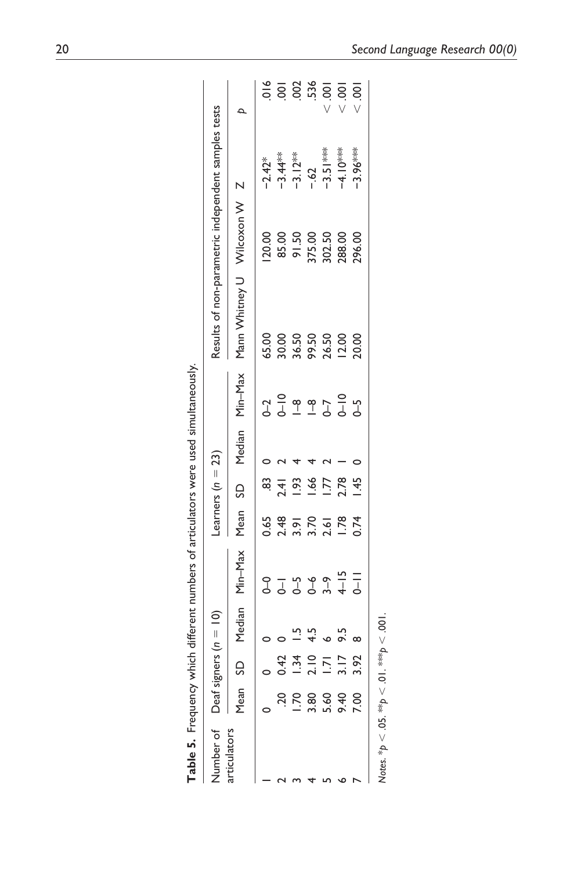|                   | Table 5. Frequency which different numbers of articulator: |                          |                                 |
|-------------------|------------------------------------------------------------|--------------------------|---------------------------------|
| Niimhar of        | Deaf signers $(n = 10)$                                    | s (n = 23)<br>earners i. | Results of non-parametric inder |
| <br>$\frac{1}{2}$ |                                                            |                          |                                 |

| <b>Table 5.</b> Frequency whi                        |                    |      |          | ich different numbers of articulators were used simultaneously. |                       |                 |                        |                                                     |                                    |                                 |                                                                                                                                                                                                                                                                              |
|------------------------------------------------------|--------------------|------|----------|-----------------------------------------------------------------|-----------------------|-----------------|------------------------|-----------------------------------------------------|------------------------------------|---------------------------------|------------------------------------------------------------------------------------------------------------------------------------------------------------------------------------------------------------------------------------------------------------------------------|
| Number of Deaf signers $(n = 10)$                    |                    |      |          |                                                                 | Learners ( $n = 23$ ) |                 |                        | Results of non-parametric independent samples tests |                                    |                                 |                                                                                                                                                                                                                                                                              |
| articulators                                         | Mean <sub>SD</sub> |      |          | Median Min-Max                                                  |                       |                 | Mean SD Median Min-Max | Mann Whitney U Wilcoxon W Z                         |                                    |                                 |                                                                                                                                                                                                                                                                              |
|                                                      |                    |      |          |                                                                 | 0.65                  | 83              |                        |                                                     | 120.00                             | $-2.42*$                        |                                                                                                                                                                                                                                                                              |
|                                                      |                    |      |          |                                                                 |                       | 2.41            |                        |                                                     |                                    |                                 |                                                                                                                                                                                                                                                                              |
|                                                      | P.                 |      |          |                                                                 | 2.48                  | 1.93            |                        |                                                     |                                    | $-3.44**$<br>$-3.12**$<br>$-62$ |                                                                                                                                                                                                                                                                              |
|                                                      | 3.80               | 2.10 |          |                                                                 | 3.70                  | $-66$           |                        |                                                     |                                    |                                 |                                                                                                                                                                                                                                                                              |
|                                                      | 5.60               |      | o        |                                                                 | 2.61                  | $\overline{17}$ |                        |                                                     | 85.00<br>91.50<br>375.00<br>302.50 | $-3.51***$                      | $\frac{1}{2}$<br>$\frac{1}{2}$<br>$\frac{1}{2}$<br>$\frac{1}{2}$<br>$\frac{1}{2}$<br>$\frac{1}{2}$<br>$\frac{1}{2}$<br>$\frac{1}{2}$<br>$\frac{1}{2}$<br>$\frac{1}{2}$<br>$\frac{1}{2}$<br>$\frac{1}{2}$<br>$\frac{1}{2}$<br>$\frac{1}{2}$<br>$\frac{1}{2}$<br>$\frac{1}{2}$ |
|                                                      | 9.40               |      |          |                                                                 | 1.78                  | 2.78            |                        |                                                     | 288.00                             | -4.10 ***                       |                                                                                                                                                                                                                                                                              |
|                                                      | $\frac{8}{100}$    |      | $\infty$ |                                                                 | 0.74                  | 1.45            |                        |                                                     | 296.00                             | $-3.96***$                      | $\overline{5}$                                                                                                                                                                                                                                                               |
| Notes. * $p < .05$ . ** $p < .01$ . *** $p < .001$ . |                    |      |          |                                                                 |                       |                 |                        |                                                     |                                    |                                 |                                                                                                                                                                                                                                                                              |

Notes. \*p < .05. \*\*\*p < .01. \*\*\*p < .001.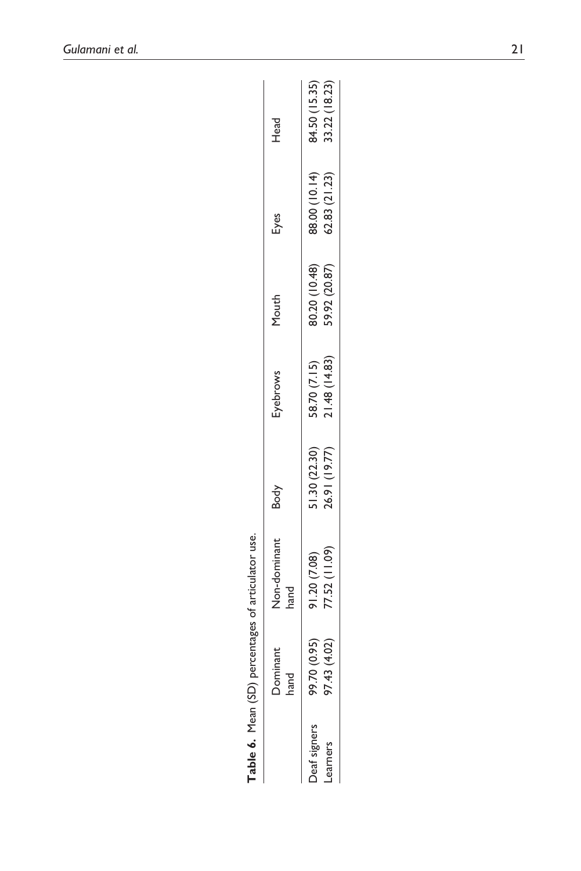|                                        |                                    | Table 6. Mean (SD) percentages of articulator use. |                                |                               |                                |                                |                              |
|----------------------------------------|------------------------------------|----------------------------------------------------|--------------------------------|-------------------------------|--------------------------------|--------------------------------|------------------------------|
|                                        | <b>Dominant</b><br>hand            | Non-dominant<br>hand                               | Body                           | Eyebrows                      | Mouth                          | Eyes                           | Head                         |
| <b>Deaf signers</b><br><b>Learners</b> | (4.02)<br>(0.95)<br>97.43<br>99.70 | 77.52 (11.09)<br>91.20 (7.08)                      | 51.30 (22.30)<br>26.91 (19.77) | 21.48 (14.83)<br>58.70 (7.15) | 59.92 (20.87)<br>90.20 (10.48) | 88.00 (10.14)<br>62.83 (21.23) | 4.50(15.35)<br>33.22 (18.23) |

84.50 (15.35)<br>33.22 (18.23)

91.20 (7.08)<br>77.52 (11.09)

Deaf signers Learners

| į                             |  |
|-------------------------------|--|
|                               |  |
|                               |  |
| percentages of articulator us |  |
| į<br>ć                        |  |
| ă                             |  |
| $\dot{\mathbf{z}}$            |  |
|                               |  |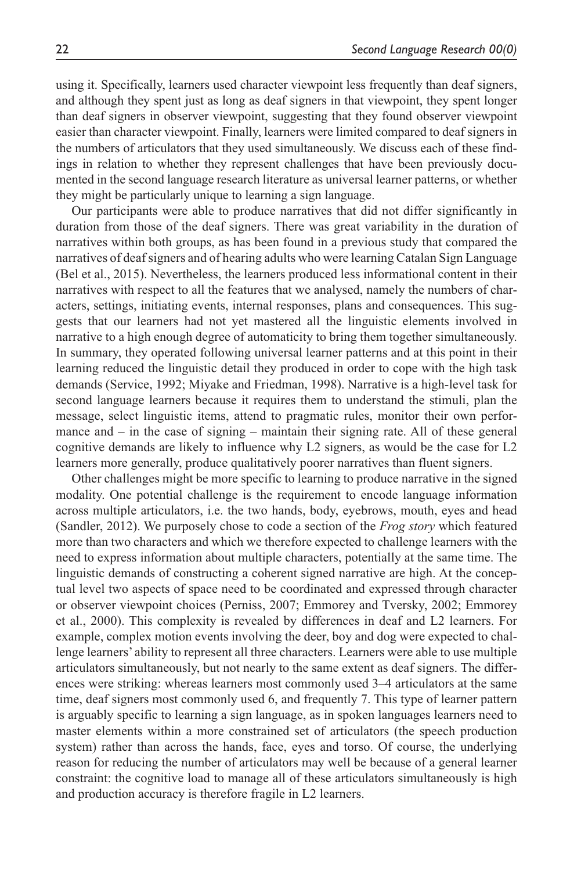using it. Specifically, learners used character viewpoint less frequently than deaf signers, and although they spent just as long as deaf signers in that viewpoint, they spent longer than deaf signers in observer viewpoint, suggesting that they found observer viewpoint easier than character viewpoint. Finally, learners were limited compared to deaf signers in the numbers of articulators that they used simultaneously. We discuss each of these findings in relation to whether they represent challenges that have been previously documented in the second language research literature as universal learner patterns, or whether they might be particularly unique to learning a sign language.

Our participants were able to produce narratives that did not differ significantly in duration from those of the deaf signers. There was great variability in the duration of narratives within both groups, as has been found in a previous study that compared the narratives of deaf signers and of hearing adults who were learning Catalan Sign Language (Bel et al., 2015). Nevertheless, the learners produced less informational content in their narratives with respect to all the features that we analysed, namely the numbers of characters, settings, initiating events, internal responses, plans and consequences. This suggests that our learners had not yet mastered all the linguistic elements involved in narrative to a high enough degree of automaticity to bring them together simultaneously. In summary, they operated following universal learner patterns and at this point in their learning reduced the linguistic detail they produced in order to cope with the high task demands (Service, 1992; Miyake and Friedman, 1998). Narrative is a high-level task for second language learners because it requires them to understand the stimuli, plan the message, select linguistic items, attend to pragmatic rules, monitor their own performance and – in the case of signing – maintain their signing rate. All of these general cognitive demands are likely to influence why L2 signers, as would be the case for L2 learners more generally, produce qualitatively poorer narratives than fluent signers.

Other challenges might be more specific to learning to produce narrative in the signed modality. One potential challenge is the requirement to encode language information across multiple articulators, i.e. the two hands, body, eyebrows, mouth, eyes and head (Sandler, 2012). We purposely chose to code a section of the *Frog story* which featured more than two characters and which we therefore expected to challenge learners with the need to express information about multiple characters, potentially at the same time. The linguistic demands of constructing a coherent signed narrative are high. At the conceptual level two aspects of space need to be coordinated and expressed through character or observer viewpoint choices (Perniss, 2007; Emmorey and Tversky, 2002; Emmorey et al., 2000). This complexity is revealed by differences in deaf and L2 learners. For example, complex motion events involving the deer, boy and dog were expected to challenge learners' ability to represent all three characters. Learners were able to use multiple articulators simultaneously, but not nearly to the same extent as deaf signers. The differences were striking: whereas learners most commonly used 3–4 articulators at the same time, deaf signers most commonly used 6, and frequently 7. This type of learner pattern is arguably specific to learning a sign language, as in spoken languages learners need to master elements within a more constrained set of articulators (the speech production system) rather than across the hands, face, eyes and torso. Of course, the underlying reason for reducing the number of articulators may well be because of a general learner constraint: the cognitive load to manage all of these articulators simultaneously is high and production accuracy is therefore fragile in L2 learners.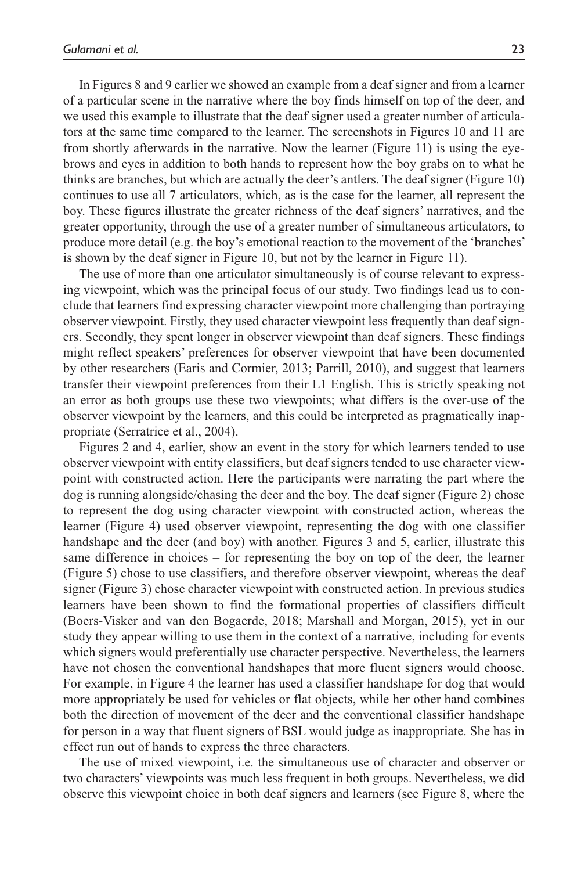In Figures 8 and 9 earlier we showed an example from a deaf signer and from a learner of a particular scene in the narrative where the boy finds himself on top of the deer, and we used this example to illustrate that the deaf signer used a greater number of articulators at the same time compared to the learner. The screenshots in Figures 10 and 11 are from shortly afterwards in the narrative. Now the learner (Figure 11) is using the eyebrows and eyes in addition to both hands to represent how the boy grabs on to what he thinks are branches, but which are actually the deer's antlers. The deaf signer (Figure 10) continues to use all 7 articulators, which, as is the case for the learner, all represent the boy. These figures illustrate the greater richness of the deaf signers' narratives, and the greater opportunity, through the use of a greater number of simultaneous articulators, to produce more detail (e.g. the boy's emotional reaction to the movement of the 'branches' is shown by the deaf signer in Figure 10, but not by the learner in Figure 11).

The use of more than one articulator simultaneously is of course relevant to expressing viewpoint, which was the principal focus of our study. Two findings lead us to conclude that learners find expressing character viewpoint more challenging than portraying observer viewpoint. Firstly, they used character viewpoint less frequently than deaf signers. Secondly, they spent longer in observer viewpoint than deaf signers. These findings might reflect speakers' preferences for observer viewpoint that have been documented by other researchers (Earis and Cormier, 2013; Parrill, 2010), and suggest that learners transfer their viewpoint preferences from their L1 English. This is strictly speaking not an error as both groups use these two viewpoints; what differs is the over-use of the observer viewpoint by the learners, and this could be interpreted as pragmatically inappropriate (Serratrice et al., 2004).

Figures 2 and 4, earlier, show an event in the story for which learners tended to use observer viewpoint with entity classifiers, but deaf signers tended to use character viewpoint with constructed action. Here the participants were narrating the part where the dog is running alongside/chasing the deer and the boy. The deaf signer (Figure 2) chose to represent the dog using character viewpoint with constructed action, whereas the learner (Figure 4) used observer viewpoint, representing the dog with one classifier handshape and the deer (and boy) with another. Figures 3 and 5, earlier, illustrate this same difference in choices – for representing the boy on top of the deer, the learner (Figure 5) chose to use classifiers, and therefore observer viewpoint, whereas the deaf signer (Figure 3) chose character viewpoint with constructed action. In previous studies learners have been shown to find the formational properties of classifiers difficult (Boers-Visker and van den Bogaerde, 2018; Marshall and Morgan, 2015), yet in our study they appear willing to use them in the context of a narrative, including for events which signers would preferentially use character perspective. Nevertheless, the learners have not chosen the conventional handshapes that more fluent signers would choose. For example, in Figure 4 the learner has used a classifier handshape for dog that would more appropriately be used for vehicles or flat objects, while her other hand combines both the direction of movement of the deer and the conventional classifier handshape for person in a way that fluent signers of BSL would judge as inappropriate. She has in effect run out of hands to express the three characters.

The use of mixed viewpoint, i.e. the simultaneous use of character and observer or two characters' viewpoints was much less frequent in both groups. Nevertheless, we did observe this viewpoint choice in both deaf signers and learners (see Figure 8, where the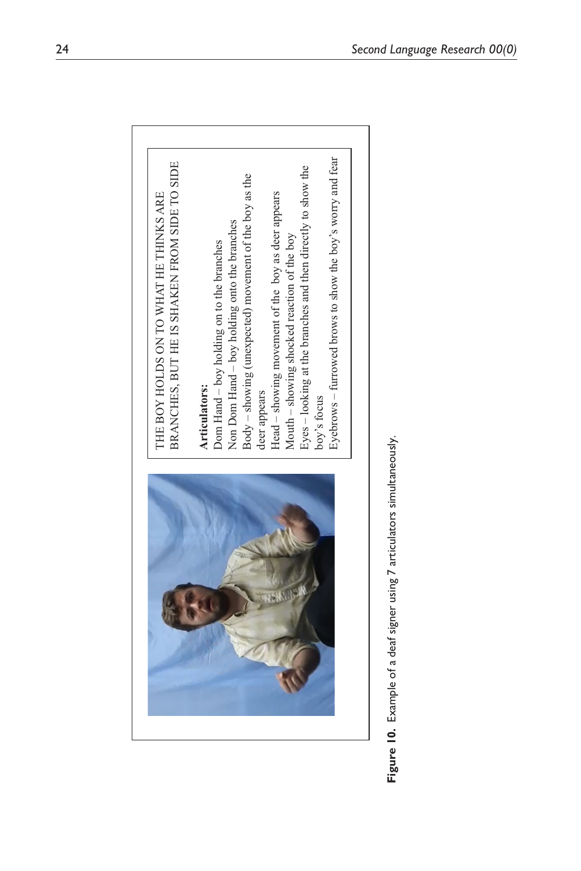| BRANCHES, BUT HE IS SHAKEN FROM SIDE TO SIDE<br>THE BOY HOLDS ON TO WHAT HE THINKS ARE                      |
|-------------------------------------------------------------------------------------------------------------|
| Dom Hand – boy holding on to the branches<br>Articulators:                                                  |
| $Body - showing (unexpected) movement of the boy as the$<br>Non Dom Hand - boy holding onto the branches    |
| Head - showing movement of the boy as deer appears<br>deer appears                                          |
| Eyes – looking at the branches and then directly to show the<br>Mouth – showing shocked reaction of the boy |
| Eyebrows – furrowed brows to show the boy's worry and fear<br>boy's focus                                   |

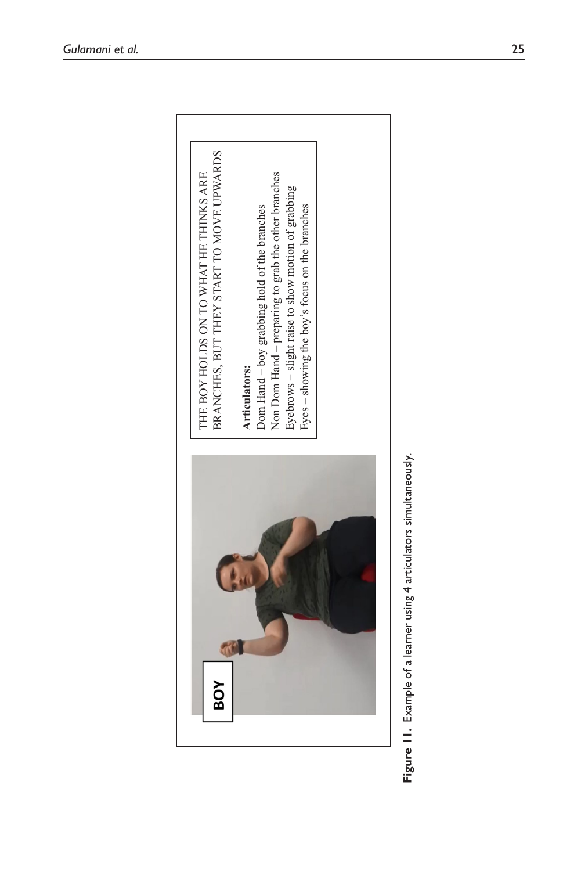

Figure 11. Example of a learner using 4 articulators simultaneously. **Figure 11.** Example of a learner using 4 articulators simultaneously.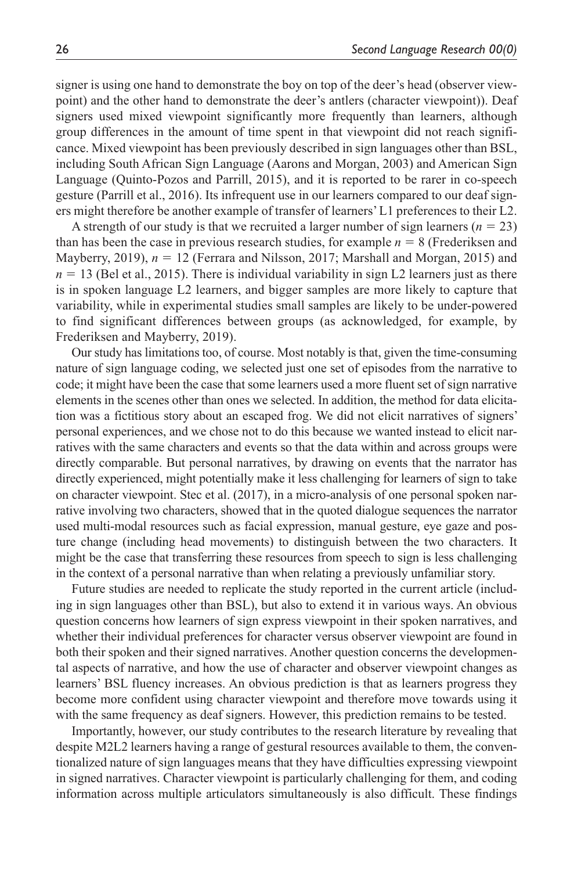signer is using one hand to demonstrate the boy on top of the deer's head (observer viewpoint) and the other hand to demonstrate the deer's antlers (character viewpoint)). Deaf signers used mixed viewpoint significantly more frequently than learners, although group differences in the amount of time spent in that viewpoint did not reach significance. Mixed viewpoint has been previously described in sign languages other than BSL, including South African Sign Language (Aarons and Morgan, 2003) and American Sign Language (Quinto-Pozos and Parrill, 2015), and it is reported to be rarer in co-speech gesture (Parrill et al., 2016). Its infrequent use in our learners compared to our deaf signers might therefore be another example of transfer of learners' L1 preferences to their L2.

A strength of our study is that we recruited a larger number of sign learners  $(n = 23)$ than has been the case in previous research studies, for example  $n = 8$  (Frederiksen and Mayberry, 2019), *n* = 12 (Ferrara and Nilsson, 2017; Marshall and Morgan, 2015) and  $n = 13$  (Bel et al., 2015). There is individual variability in sign L2 learners just as there is in spoken language L2 learners, and bigger samples are more likely to capture that variability, while in experimental studies small samples are likely to be under-powered to find significant differences between groups (as acknowledged, for example, by Frederiksen and Mayberry, 2019).

Our study has limitations too, of course. Most notably is that, given the time-consuming nature of sign language coding, we selected just one set of episodes from the narrative to code; it might have been the case that some learners used a more fluent set of sign narrative elements in the scenes other than ones we selected. In addition, the method for data elicitation was a fictitious story about an escaped frog. We did not elicit narratives of signers' personal experiences, and we chose not to do this because we wanted instead to elicit narratives with the same characters and events so that the data within and across groups were directly comparable. But personal narratives, by drawing on events that the narrator has directly experienced, might potentially make it less challenging for learners of sign to take on character viewpoint. Stec et al. (2017), in a micro-analysis of one personal spoken narrative involving two characters, showed that in the quoted dialogue sequences the narrator used multi-modal resources such as facial expression, manual gesture, eye gaze and posture change (including head movements) to distinguish between the two characters. It might be the case that transferring these resources from speech to sign is less challenging in the context of a personal narrative than when relating a previously unfamiliar story.

Future studies are needed to replicate the study reported in the current article (including in sign languages other than BSL), but also to extend it in various ways. An obvious question concerns how learners of sign express viewpoint in their spoken narratives, and whether their individual preferences for character versus observer viewpoint are found in both their spoken and their signed narratives. Another question concerns the developmental aspects of narrative, and how the use of character and observer viewpoint changes as learners' BSL fluency increases. An obvious prediction is that as learners progress they become more confident using character viewpoint and therefore move towards using it with the same frequency as deaf signers. However, this prediction remains to be tested.

Importantly, however, our study contributes to the research literature by revealing that despite M2L2 learners having a range of gestural resources available to them, the conventionalized nature of sign languages means that they have difficulties expressing viewpoint in signed narratives. Character viewpoint is particularly challenging for them, and coding information across multiple articulators simultaneously is also difficult. These findings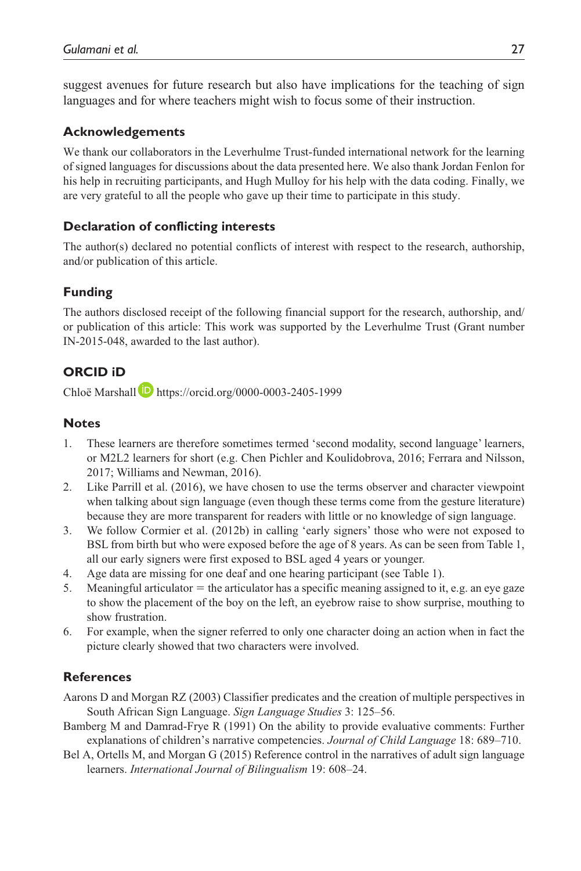suggest avenues for future research but also have implications for the teaching of sign languages and for where teachers might wish to focus some of their instruction.

#### **Acknowledgements**

We thank our collaborators in the Leverhulme Trust-funded international network for the learning of signed languages for discussions about the data presented here. We also thank Jordan Fenlon for his help in recruiting participants, and Hugh Mulloy for his help with the data coding. Finally, we are very grateful to all the people who gave up their time to participate in this study.

#### **Declaration of conflicting interests**

The author(s) declared no potential conflicts of interest with respect to the research, authorship, and/or publication of this article.

## **Funding**

The authors disclosed receipt of the following financial support for the research, authorship, and/ or publication of this article: This work was supported by the Leverhulme Trust (Grant number IN-2015-048, awarded to the last author).

## **ORCID iD**

Chloë Marshall **https://orcid.org/0000-0003-2405-1999** 

#### **Notes**

- 1. These learners are therefore sometimes termed 'second modality, second language' learners, or M2L2 learners for short (e.g. Chen Pichler and Koulidobrova, 2016; Ferrara and Nilsson, 2017; Williams and Newman, 2016).
- 2. Like Parrill et al. (2016), we have chosen to use the terms observer and character viewpoint when talking about sign language (even though these terms come from the gesture literature) because they are more transparent for readers with little or no knowledge of sign language.
- 3. We follow Cormier et al. (2012b) in calling 'early signers' those who were not exposed to BSL from birth but who were exposed before the age of 8 years. As can be seen from Table 1, all our early signers were first exposed to BSL aged 4 years or younger.
- 4. Age data are missing for one deaf and one hearing participant (see Table 1).
- 5. Meaningful articulator  $=$  the articulator has a specific meaning assigned to it, e.g. an eye gaze to show the placement of the boy on the left, an eyebrow raise to show surprise, mouthing to show frustration.
- 6. For example, when the signer referred to only one character doing an action when in fact the picture clearly showed that two characters were involved.

#### **References**

Aarons D and Morgan RZ (2003) Classifier predicates and the creation of multiple perspectives in South African Sign Language. *Sign Language Studies* 3: 125–56.

- Bamberg M and Damrad-Frye R (1991) On the ability to provide evaluative comments: Further explanations of children's narrative competencies. *Journal of Child Language* 18: 689–710.
- Bel A, Ortells M, and Morgan G (2015) Reference control in the narratives of adult sign language learners. *International Journal of Bilingualism* 19: 608–24.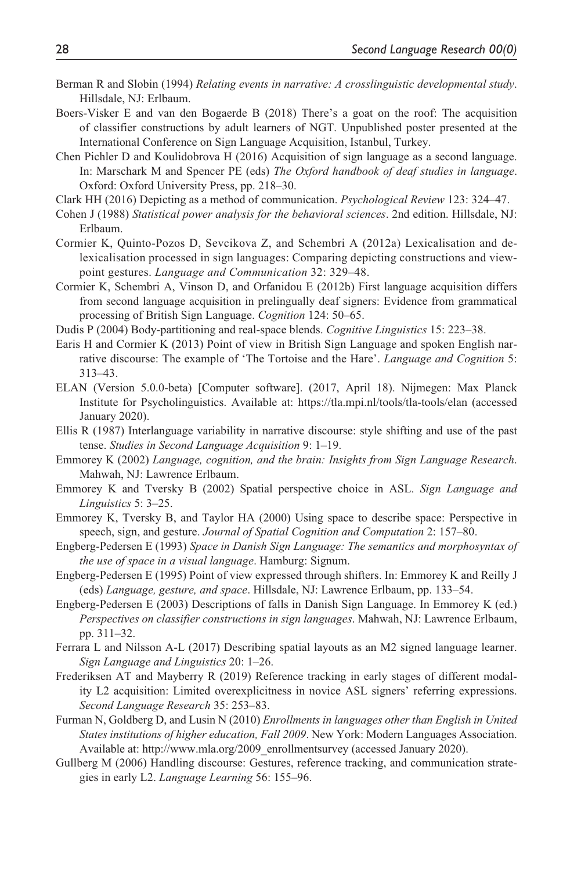- Berman R and Slobin (1994) *Relating events in narrative: A crosslinguistic developmental study*. Hillsdale, NJ: Erlbaum.
- Boers-Visker E and van den Bogaerde B (2018) There's a goat on the roof: The acquisition of classifier constructions by adult learners of NGT. Unpublished poster presented at the International Conference on Sign Language Acquisition, Istanbul, Turkey.
- Chen Pichler D and Koulidobrova H (2016) Acquisition of sign language as a second language. In: Marschark M and Spencer PE (eds) *The Oxford handbook of deaf studies in language*. Oxford: Oxford University Press, pp. 218–30.
- Clark HH (2016) Depicting as a method of communication. *Psychological Review* 123: 324–47.
- Cohen J (1988) *Statistical power analysis for the behavioral sciences*. 2nd edition. Hillsdale, NJ: Erlbaum.
- Cormier K, Quinto-Pozos D, Sevcikova Z, and Schembri A (2012a) Lexicalisation and delexicalisation processed in sign languages: Comparing depicting constructions and viewpoint gestures. *Language and Communication* 32: 329–48.
- Cormier K, Schembri A, Vinson D, and Orfanidou E (2012b) First language acquisition differs from second language acquisition in prelingually deaf signers: Evidence from grammatical processing of British Sign Language. *Cognition* 124: 50–65.

Dudis P (2004) Body-partitioning and real-space blends. *Cognitive Linguistics* 15: 223–38.

- Earis H and Cormier K (2013) Point of view in British Sign Language and spoken English narrative discourse: The example of 'The Tortoise and the Hare'. *Language and Cognition* 5: 313–43.
- ELAN (Version 5.0.0-beta) [Computer software]. (2017, April 18). Nijmegen: Max Planck Institute for Psycholinguistics. Available at: <https://tla.mpi.nl/tools/tla-tools/elan> (accessed January 2020).
- Ellis R (1987) Interlanguage variability in narrative discourse: style shifting and use of the past tense. *Studies in Second Language Acquisition* 9: 1–19.
- Emmorey K (2002) *Language, cognition, and the brain: Insights from Sign Language Research*. Mahwah, NJ: Lawrence Erlbaum.
- Emmorey K and Tversky B (2002) Spatial perspective choice in ASL. *Sign Language and Linguistics* 5: 3–25.
- Emmorey K, Tversky B, and Taylor HA (2000) Using space to describe space: Perspective in speech, sign, and gesture. *Journal of Spatial Cognition and Computation* 2: 157–80.
- Engberg-Pedersen E (1993) *Space in Danish Sign Language: The semantics and morphosyntax of the use of space in a visual language*. Hamburg: Signum.
- Engberg-Pedersen E (1995) Point of view expressed through shifters. In: Emmorey K and Reilly J (eds) *Language, gesture, and space*. Hillsdale, NJ: Lawrence Erlbaum, pp. 133–54.
- Engberg-Pedersen E (2003) Descriptions of falls in Danish Sign Language. In Emmorey K (ed.) *Perspectives on classifier constructions in sign languages*. Mahwah, NJ: Lawrence Erlbaum, pp. 311–32.
- Ferrara L and Nilsson A-L (2017) Describing spatial layouts as an M2 signed language learner. *Sign Language and Linguistics* 20: 1–26.
- Frederiksen AT and Mayberry R (2019) Reference tracking in early stages of different modality L2 acquisition: Limited overexplicitness in novice ASL signers' referring expressions. *Second Language Research* 35: 253–83.
- Furman N, Goldberg D, and Lusin N (2010) *Enrollments in languages other than English in United States institutions of higher education, Fall 2009*. New York: Modern Languages Association. Available at: [http://www.mla.org/2009\\_enrollmentsurvey](http://www.mla.org/2009_enrollmentsurvey) (accessed January 2020).
- Gullberg M (2006) Handling discourse: Gestures, reference tracking, and communication strategies in early L2. *Language Learning* 56: 155–96.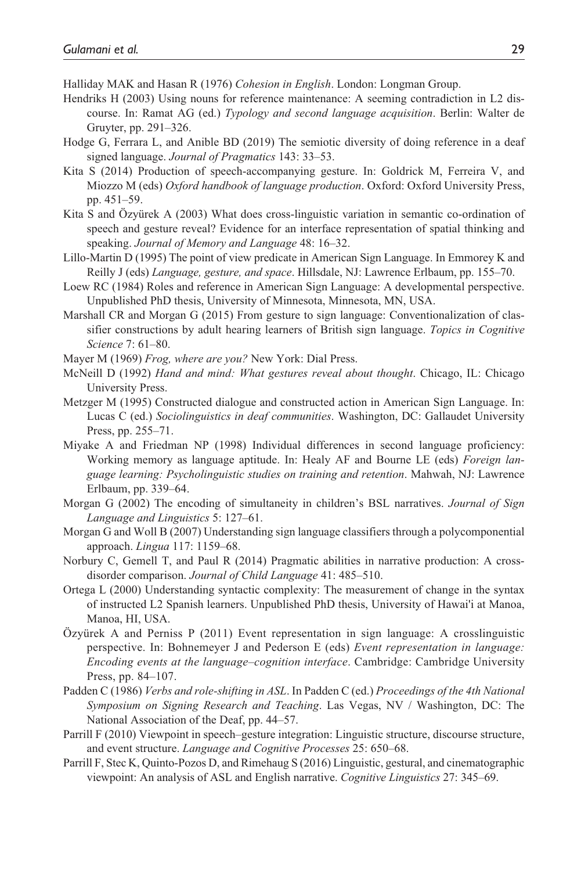Halliday MAK and Hasan R (1976) *Cohesion in English*. London: Longman Group.

- Hendriks H (2003) Using nouns for reference maintenance: A seeming contradiction in L2 discourse. In: Ramat AG (ed.) *Typology and second language acquisition*. Berlin: Walter de Gruyter, pp. 291–326.
- Hodge G, Ferrara L, and Anible BD (2019) The semiotic diversity of doing reference in a deaf signed language. *Journal of Pragmatics* 143: 33–53.
- Kita S (2014) Production of speech-accompanying gesture. In: Goldrick M, Ferreira V, and Miozzo M (eds) *Oxford handbook of language production*. Oxford: Oxford University Press, pp. 451–59.
- Kita S and Özyürek A (2003) What does cross-linguistic variation in semantic co-ordination of speech and gesture reveal? Evidence for an interface representation of spatial thinking and speaking. *Journal of Memory and Language* 48: 16–32.
- Lillo-Martin D (1995) The point of view predicate in American Sign Language. In Emmorey K and Reilly J (eds) *Language, gesture, and space*. Hillsdale, NJ: Lawrence Erlbaum, pp. 155–70.
- Loew RC (1984) Roles and reference in American Sign Language: A developmental perspective. Unpublished PhD thesis, University of Minnesota, Minnesota, MN, USA.
- Marshall CR and Morgan G (2015) From gesture to sign language: Conventionalization of classifier constructions by adult hearing learners of British sign language. *Topics in Cognitive Science* 7: 61–80.
- Mayer M (1969) *Frog, where are you?* New York: Dial Press.
- McNeill D (1992) *Hand and mind: What gestures reveal about thought*. Chicago, IL: Chicago University Press.
- Metzger M (1995) Constructed dialogue and constructed action in American Sign Language. In: Lucas C (ed.) *Sociolinguistics in deaf communities*. Washington, DC: Gallaudet University Press, pp. 255–71.
- Miyake A and Friedman NP (1998) Individual differences in second language proficiency: Working memory as language aptitude. In: Healy AF and Bourne LE (eds) *Foreign language learning: Psycholinguistic studies on training and retention*. Mahwah, NJ: Lawrence Erlbaum, pp. 339–64.
- Morgan G (2002) The encoding of simultaneity in children's BSL narratives. *Journal of Sign Language and Linguistics* 5: 127–61.
- Morgan G and Woll B (2007) Understanding sign language classifiers through a polycomponential approach. *Lingua* 117: 1159–68.
- Norbury C, Gemell T, and Paul R (2014) Pragmatic abilities in narrative production: A crossdisorder comparison. *Journal of Child Language* 41: 485–510.
- Ortega L (2000) Understanding syntactic complexity: The measurement of change in the syntax of instructed L2 Spanish learners. Unpublished PhD thesis, University of Hawai'i at Manoa, Manoa, HI, USA.
- Özyürek A and Perniss P (2011) Event representation in sign language: A crosslinguistic perspective. In: Bohnemeyer J and Pederson E (eds) *Event representation in language: Encoding events at the language–cognition interface*. Cambridge: Cambridge University Press, pp. 84–107.
- Padden C (1986) *Verbs and role-shifting in ASL*. In Padden C (ed.) *Proceedings of the 4th National Symposium on Signing Research and Teaching*. Las Vegas, NV / Washington, DC: The National Association of the Deaf, pp. 44–57.
- Parrill F (2010) Viewpoint in speech–gesture integration: Linguistic structure, discourse structure, and event structure. *Language and Cognitive Processes* 25: 650–68.
- Parrill F, Stec K, Quinto-Pozos D, and Rimehaug S (2016) Linguistic, gestural, and cinematographic viewpoint: An analysis of ASL and English narrative. *Cognitive Linguistics* 27: 345–69.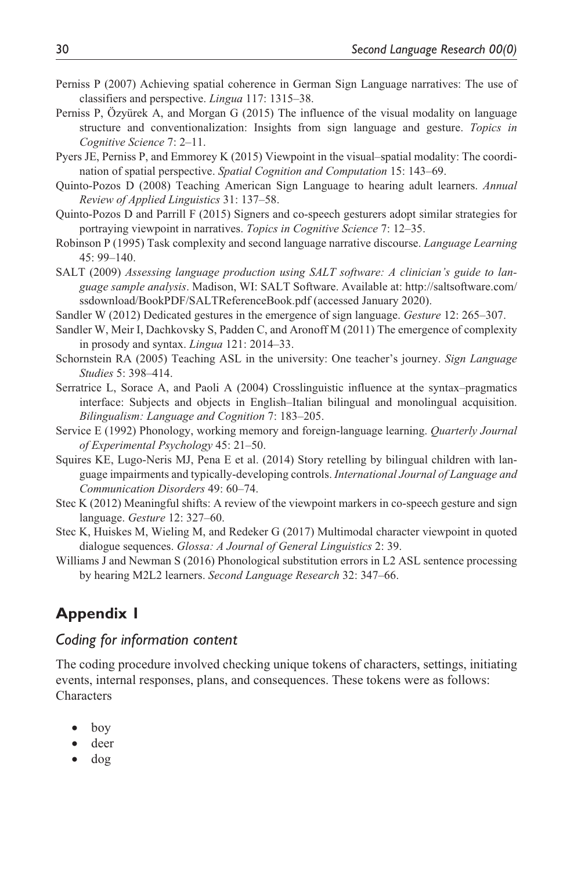- Perniss P (2007) Achieving spatial coherence in German Sign Language narratives: The use of classifiers and perspective. *Lingua* 117: 1315–38.
- Perniss P, Özyürek A, and Morgan G (2015) The influence of the visual modality on language structure and conventionalization: Insights from sign language and gesture. *Topics in Cognitive Science* 7: 2–11.
- Pyers JE, Perniss P, and Emmorey K (2015) Viewpoint in the visual–spatial modality: The coordination of spatial perspective. *Spatial Cognition and Computation* 15: 143–69.
- Quinto-Pozos D (2008) Teaching American Sign Language to hearing adult learners. *Annual Review of Applied Linguistics* 31: 137–58.
- Quinto-Pozos D and Parrill F (2015) Signers and co-speech gesturers adopt similar strategies for portraying viewpoint in narratives. *Topics in Cognitive Science* 7: 12–35.
- Robinson P (1995) Task complexity and second language narrative discourse. *Language Learning* 45: 99–140.
- SALT (2009) *Assessing language production using SALT software: A clinician's guide to language sample analysis*. Madison, WI: SALT Software. Available at: [http://saltsoftware.com/](http://saltsoftware.com/ssdownload/BookPDF/SALTReferenceBook.pdf) [ssdownload/BookPDF/SALTReferenceBook.pdf](http://saltsoftware.com/ssdownload/BookPDF/SALTReferenceBook.pdf) (accessed January 2020).
- Sandler W (2012) Dedicated gestures in the emergence of sign language. *Gesture* 12: 265–307.
- Sandler W, Meir I, Dachkovsky S, Padden C, and Aronoff M (2011) The emergence of complexity in prosody and syntax. *Lingua* 121: 2014–33.
- Schornstein RA (2005) Teaching ASL in the university: One teacher's journey. *Sign Language Studies* 5: 398–414.
- Serratrice L, Sorace A, and Paoli A (2004) Crosslinguistic influence at the syntax–pragmatics interface: Subjects and objects in English–Italian bilingual and monolingual acquisition. *Bilingualism: Language and Cognition* 7: 183–205.
- Service E (1992) Phonology, working memory and foreign-language learning. *Quarterly Journal of Experimental Psychology* 45: 21–50.
- Squires KE, Lugo-Neris MJ, Pena E et al. (2014) Story retelling by bilingual children with language impairments and typically-developing controls. *International Journal of Language and Communication Disorders* 49: 60–74.
- Stec K (2012) Meaningful shifts: A review of the viewpoint markers in co-speech gesture and sign language. *Gesture* 12: 327–60.
- Stec K, Huiskes M, Wieling M, and Redeker G (2017) Multimodal character viewpoint in quoted dialogue sequences. *Glossa: A Journal of General Linguistics* 2: 39.
- Williams J and Newman S (2016) Phonological substitution errors in L2 ASL sentence processing by hearing M2L2 learners. *Second Language Research* 32: 347–66.

# **Appendix 1**

## *Coding for information content*

The coding procedure involved checking unique tokens of characters, settings, initiating events, internal responses, plans, and consequences. These tokens were as follows: **Characters** 

- boy
- deer
- dog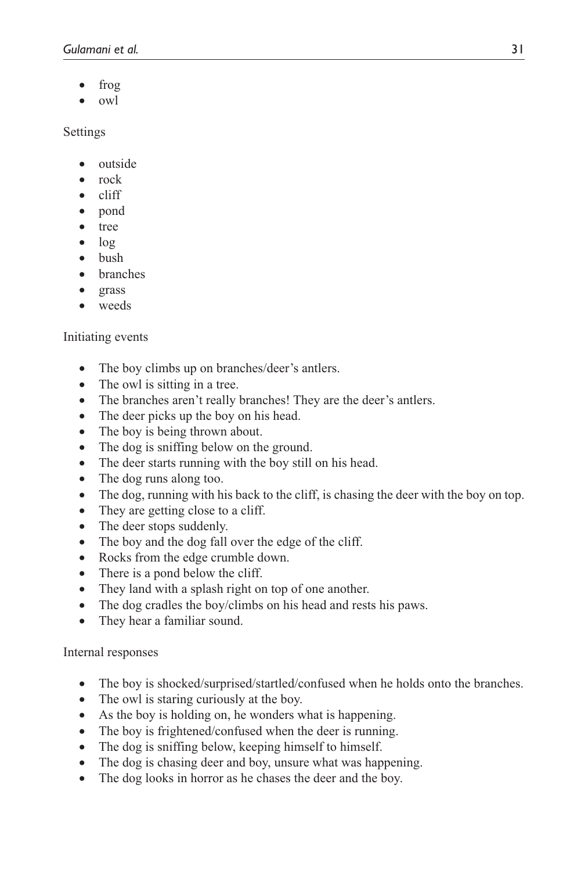- frog
- owl

Settings

- outside
- rock
- cliff
- pond
- tree
- log
- bush
- **branches**
- grass
- weeds

## Initiating events

- The boy climbs up on branches/deer's antlers.
- The owl is sitting in a tree.
- The branches aren't really branches! They are the deer's antlers.
- The deer picks up the boy on his head.
- The boy is being thrown about.
- The dog is sniffing below on the ground.
- The deer starts running with the boy still on his head.
- The dog runs along too.
- The dog, running with his back to the cliff, is chasing the deer with the boy on top.
- They are getting close to a cliff.
- The deer stops suddenly.
- The boy and the dog fall over the edge of the cliff.
- Rocks from the edge crumble down.
- There is a pond below the cliff.
- They land with a splash right on top of one another.
- The dog cradles the boy/climbs on his head and rests his paws.
- They hear a familiar sound.

## Internal responses

- The boy is shocked/surprised/startled/confused when he holds onto the branches.
- The owl is staring curiously at the boy.
- As the boy is holding on, he wonders what is happening.
- The boy is frightened/confused when the deer is running.
- The dog is sniffing below, keeping himself to himself.
- The dog is chasing deer and boy, unsure what was happening.
- The dog looks in horror as he chases the deer and the boy.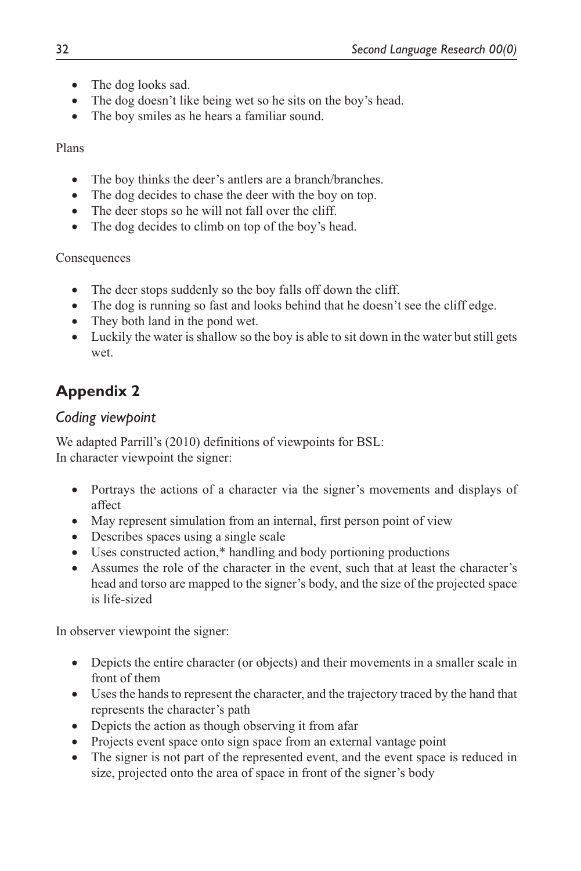- The dog looks sad.
- The dog doesn't like being wet so he sits on the boy's head.
- The boy smiles as he hears a familiar sound.

## Plans

- The boy thinks the deer's antlers are a branch/branches.
- The dog decides to chase the deer with the boy on top.
- The deer stops so he will not fall over the cliff.
- The dog decides to climb on top of the boy's head.

## Consequences

- The deer stops suddenly so the boy falls off down the cliff.
- The dog is running so fast and looks behind that he doesn't see the cliff edge.
- They both land in the pond wet.
- Luckily the water is shallow so the boy is able to sit down in the water but still gets wet.

# **Appendix 2**

# *Coding viewpoint*

We adapted Parrill's (2010) definitions of viewpoints for BSL: In character viewpoint the signer:

- Portrays the actions of a character via the signer's movements and displays of affect
- May represent simulation from an internal, first person point of view
- Describes spaces using a single scale
- Uses constructed action,\* handling and body portioning productions
- Assumes the role of the character in the event, such that at least the character's head and torso are mapped to the signer's body, and the size of the projected space is life-sized

In observer viewpoint the signer:

- Depicts the entire character (or objects) and their movements in a smaller scale in front of them
- Uses the hands to represent the character, and the trajectory traced by the hand that represents the character's path
- Depicts the action as though observing it from a far
- Projects event space onto sign space from an external vantage point
- The signer is not part of the represented event, and the event space is reduced in size, projected onto the area of space in front of the signer's body